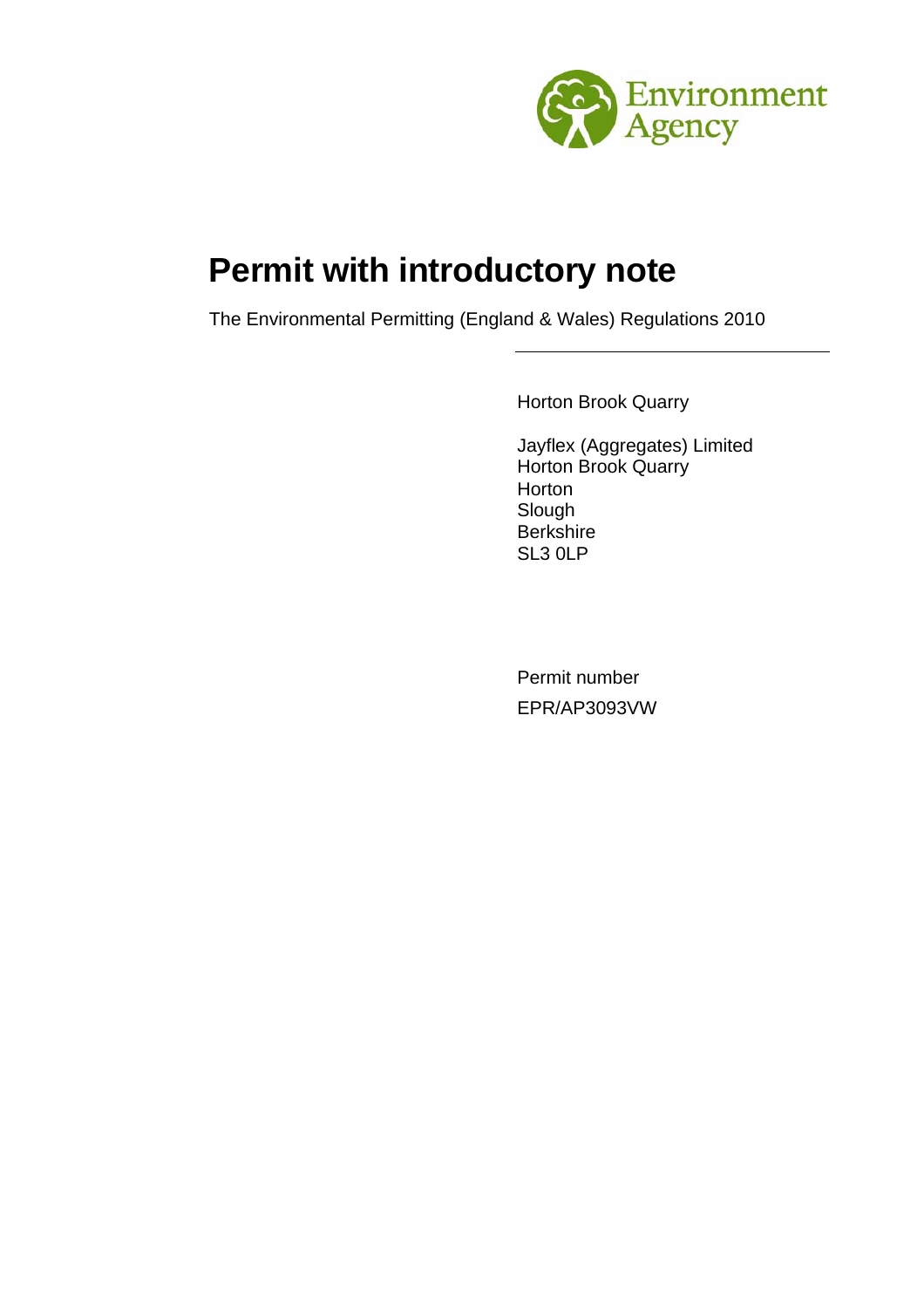

# **Permit with introductory note**

The Environmental Permitting (England & Wales) Regulations 2010

Horton Brook Quarry

Jayflex (Aggregates) Limited Horton Brook Quarry **Horton** Slough Berkshire SL3 0LP

Permit number EPR/AP3093VW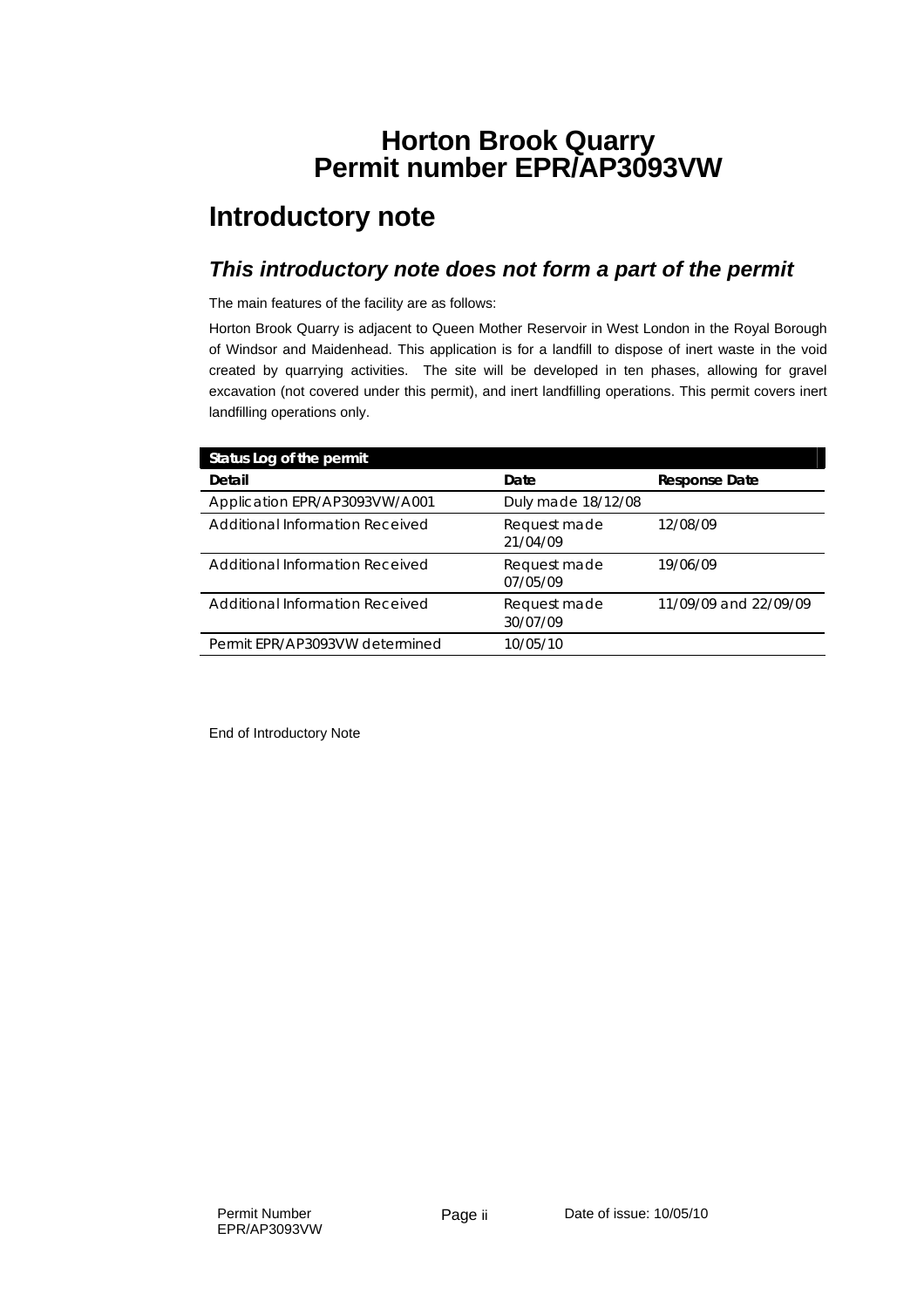### **Horton Brook Quarry Permit number EPR/AP3093VW**

## **Introductory note**

#### *This introductory note does not form a part of the permit*

The main features of the facility are as follows:

Horton Brook Quarry is adjacent to Queen Mother Reservoir in West London in the Royal Borough of Windsor and Maidenhead. This application is for a landfill to dispose of inert waste in the void created by quarrying activities. The site will be developed in ten phases, allowing for gravel excavation (not covered under this permit), and inert landfilling operations. This permit covers inert landfilling operations only.

| Status Log of the permit               |                          |                       |
|----------------------------------------|--------------------------|-----------------------|
| Detail                                 | Date                     | <b>Response Date</b>  |
| Application EPR/AP3093VW/A001          | Duly made 18/12/08       |                       |
| <b>Additional Information Received</b> | Request made<br>21/04/09 | 12/08/09              |
| Additional Information Received        | Request made<br>07/05/09 | 19/06/09              |
| Additional Information Received        | Request made<br>30/07/09 | 11/09/09 and 22/09/09 |
| Permit EPR/AP3093VW determined         | 10/05/10                 |                       |

End of Introductory Note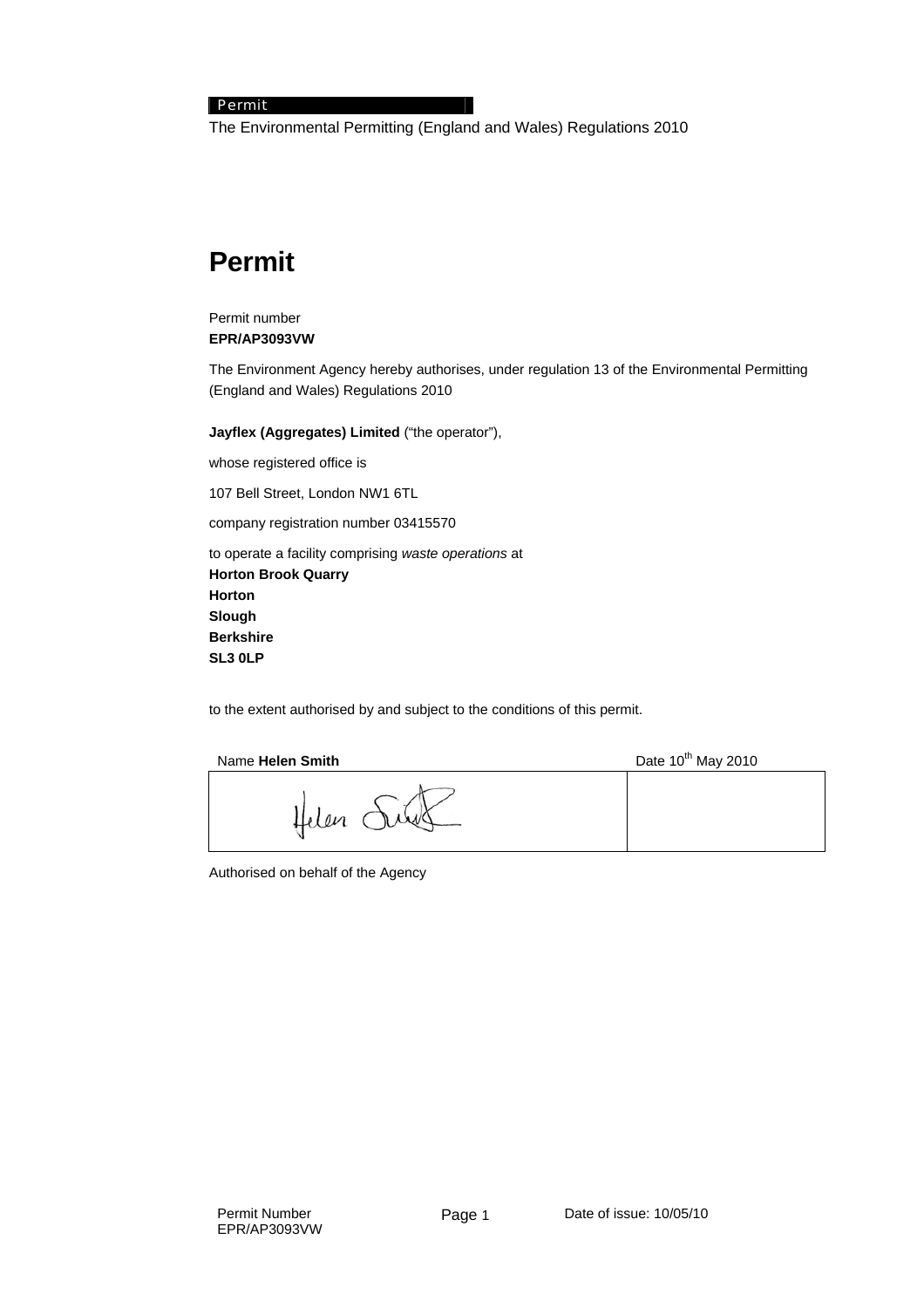#### Permit

The Environmental Permitting (England and Wales) Regulations 2010

### **Permit**

#### Permit number **EPR/AP3093VW**

The Environment Agency hereby authorises, under regulation 13 of the Environmental Permitting (England and Wales) Regulations 2010

**Jayflex (Aggregates) Limited** ("the operator"),

whose registered office is

107 Bell Street, London NW1 6TL

company registration number 03415570

to operate a facility comprising *waste operations* at **Horton Brook Quarry Horton Slough Berkshire SL3 0LP** 

to the extent authorised by and subject to the conditions of this permit.

| Name Helen Smith | Date 10 <sup>th</sup> May 2010 |
|------------------|--------------------------------|
|                  |                                |

Authorised on behalf of the Agency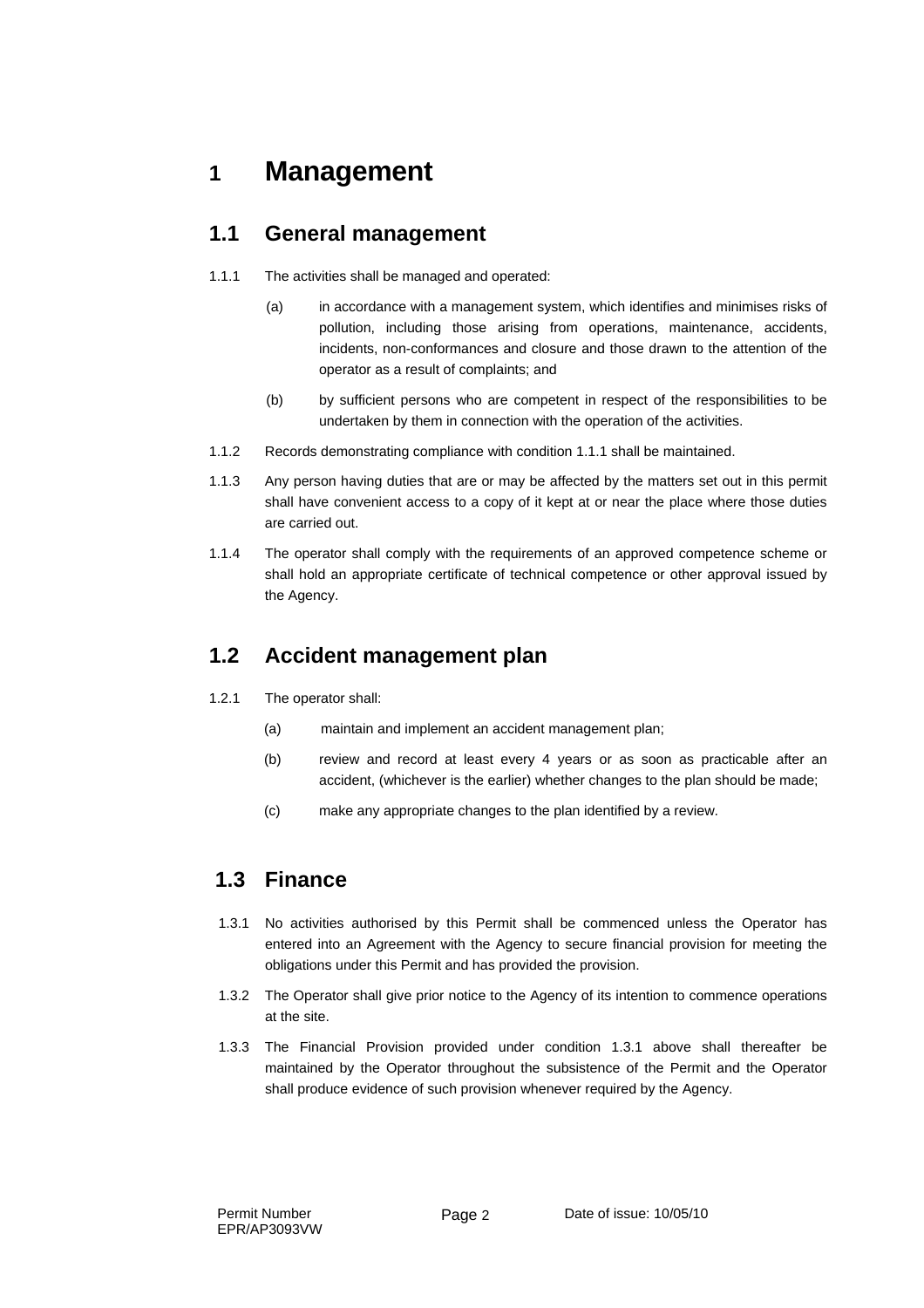## **1 Management**

### **1.1 General management**

- 1.1.1 The activities shall be managed and operated:
	- (a) in accordance with a management system, which identifies and minimises risks of pollution, including those arising from operations, maintenance, accidents, incidents, non-conformances and closure and those drawn to the attention of the operator as a result of complaints; and
	- (b) by sufficient persons who are competent in respect of the responsibilities to be undertaken by them in connection with the operation of the activities.
- 1.1.2 Records demonstrating compliance with condition 1.1.1 shall be maintained.
- 1.1.3 Any person having duties that are or may be affected by the matters set out in this permit shall have convenient access to a copy of it kept at or near the place where those duties are carried out.
- 1.1.4 The operator shall comply with the requirements of an approved competence scheme or shall hold an appropriate certificate of technical competence or other approval issued by the Agency.

### **1.2 Accident management plan**

- 1.2.1 The operator shall:
	- (a) maintain and implement an accident management plan;
	- (b) review and record at least every 4 years or as soon as practicable after an accident, (whichever is the earlier) whether changes to the plan should be made;
	- (c) make any appropriate changes to the plan identified by a review.

### **1.3 Finance**

- 1.3.1 No activities authorised by this Permit shall be commenced unless the Operator has entered into an Agreement with the Agency to secure financial provision for meeting the obligations under this Permit and has provided the provision.
- 1.3.2 The Operator shall give prior notice to the Agency of its intention to commence operations at the site.
- 1.3.3 The Financial Provision provided under condition 1.3.1 above shall thereafter be maintained by the Operator throughout the subsistence of the Permit and the Operator shall produce evidence of such provision whenever required by the Agency.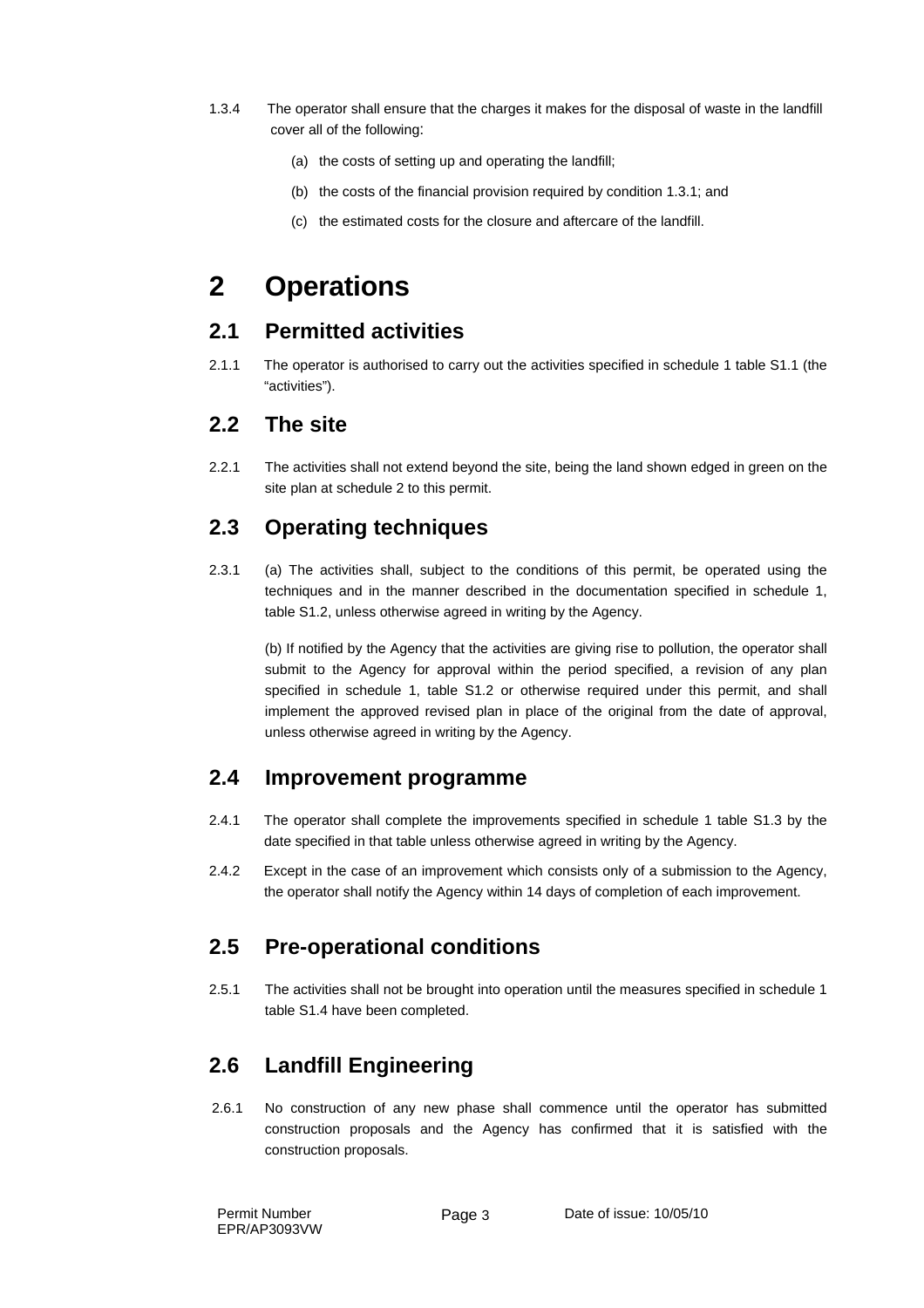- 1.3.4 The operator shall ensure that the charges it makes for the disposal of waste in the landfill cover all of the following:
	- (a) the costs of setting up and operating the landfill;
	- (b) the costs of the financial provision required by condition 1.3.1; and
	- (c) the estimated costs for the closure and aftercare of the landfill.

## **2 Operations**

#### **2.1 Permitted activities**

2.1.1 The operator is authorised to carry out the activities specified in schedule 1 table S1.1 (the "activities").

#### **2.2 The site**

2.2.1 The activities shall not extend beyond the site, being the land shown edged in green on the site plan at schedule 2 to this permit.

#### **2.3 Operating techniques**

2.3.1 (a) The activities shall, subject to the conditions of this permit, be operated using the techniques and in the manner described in the documentation specified in schedule 1, table S1.2, unless otherwise agreed in writing by the Agency.

 (b) If notified by the Agency that the activities are giving rise to pollution, the operator shall submit to the Agency for approval within the period specified, a revision of any plan specified in schedule 1, table S1.2 or otherwise required under this permit, and shall implement the approved revised plan in place of the original from the date of approval, unless otherwise agreed in writing by the Agency.

#### **2.4 Improvement programme**

- 2.4.1 The operator shall complete the improvements specified in schedule 1 table S1.3 by the date specified in that table unless otherwise agreed in writing by the Agency.
- 2.4.2 Except in the case of an improvement which consists only of a submission to the Agency, the operator shall notify the Agency within 14 days of completion of each improvement.

#### **2.5 Pre-operational conditions**

2.5.1 The activities shall not be brought into operation until the measures specified in schedule 1 table S1.4 have been completed.

### **2.6 Landfill Engineering**

 2.6.1 No construction of any new phase shall commence until the operator has submitted construction proposals and the Agency has confirmed that it is satisfied with the construction proposals.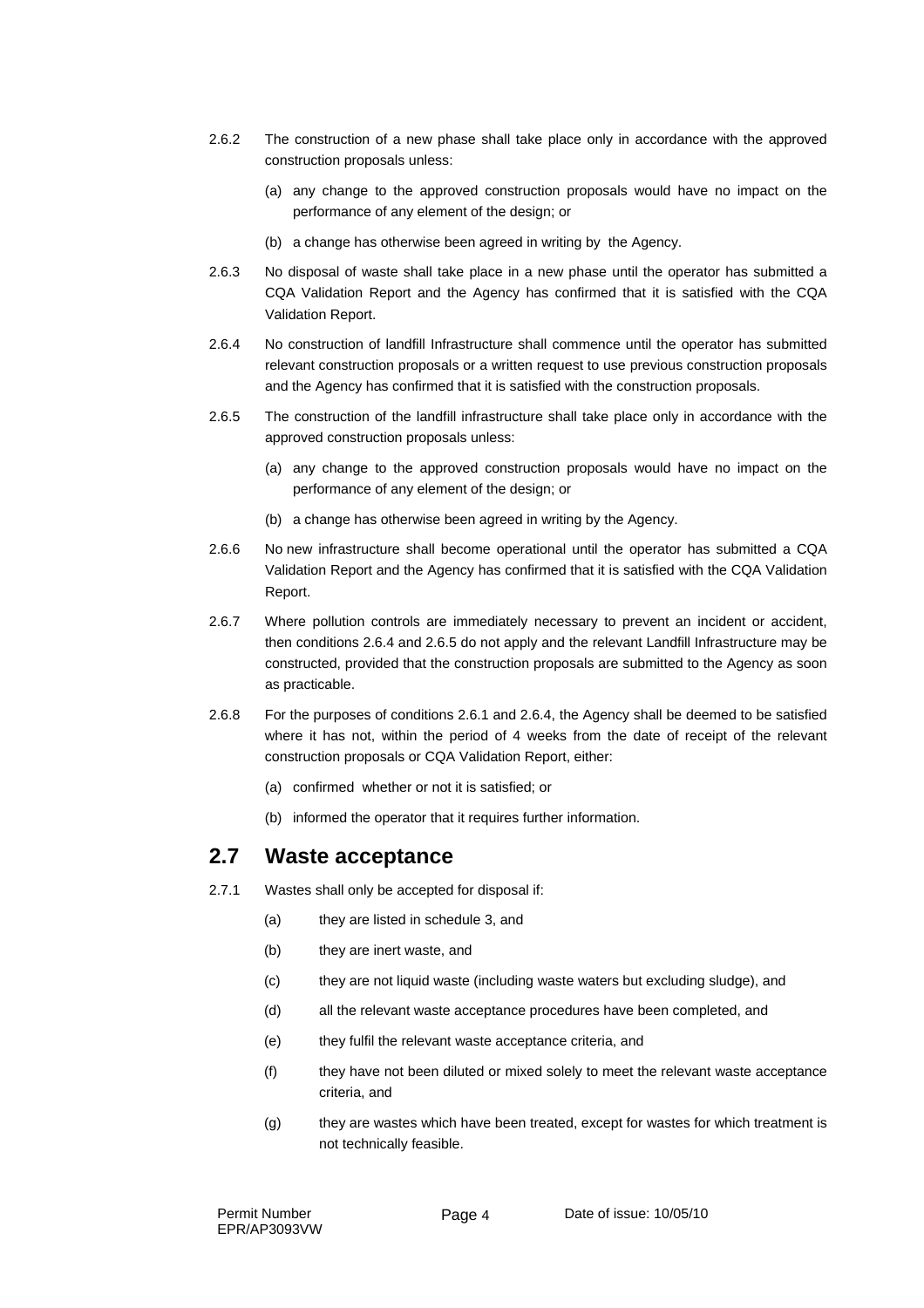- 2.6.2 The construction of a new phase shall take place only in accordance with the approved construction proposals unless:
	- (a) any change to the approved construction proposals would have no impact on the performance of any element of the design; or
	- (b) a change has otherwise been agreed in writing by the Agency.
- 2.6.3 No disposal of waste shall take place in a new phase until the operator has submitted a CQA Validation Report and the Agency has confirmed that it is satisfied with the CQA Validation Report.
- 2.6.4 No construction of landfill Infrastructure shall commence until the operator has submitted relevant construction proposals or a written request to use previous construction proposals and the Agency has confirmed that it is satisfied with the construction proposals.
- 2.6.5 The construction of the landfill infrastructure shall take place only in accordance with the approved construction proposals unless:
	- (a) any change to the approved construction proposals would have no impact on the performance of any element of the design; or
	- (b) a change has otherwise been agreed in writing by the Agency.
- 2.6.6 No new infrastructure shall become operational until the operator has submitted a CQA Validation Report and the Agency has confirmed that it is satisfied with the CQA Validation Report.
- 2.6.7 Where pollution controls are immediately necessary to prevent an incident or accident, then conditions 2.6.4 and 2.6.5 do not apply and the relevant Landfill Infrastructure may be constructed, provided that the construction proposals are submitted to the Agency as soon as practicable.
- 2.6.8 For the purposes of conditions 2.6.1 and 2.6.4, the Agency shall be deemed to be satisfied where it has not, within the period of 4 weeks from the date of receipt of the relevant construction proposals or CQA Validation Report, either:
	- (a) confirmed whether or not it is satisfied; or
	- (b) informed the operator that it requires further information.

#### **2.7 Waste acceptance**

- 2.7.1 Wastes shall only be accepted for disposal if:
	- (a) they are listed in schedule 3, and
	- (b) they are inert waste, and
	- (c) they are not liquid waste (including waste waters but excluding sludge), and
	- (d) all the relevant waste acceptance procedures have been completed, and
	- (e) they fulfil the relevant waste acceptance criteria, and
	- (f) they have not been diluted or mixed solely to meet the relevant waste acceptance criteria, and
	- (g) they are wastes which have been treated, except for wastes for which treatment is not technically feasible.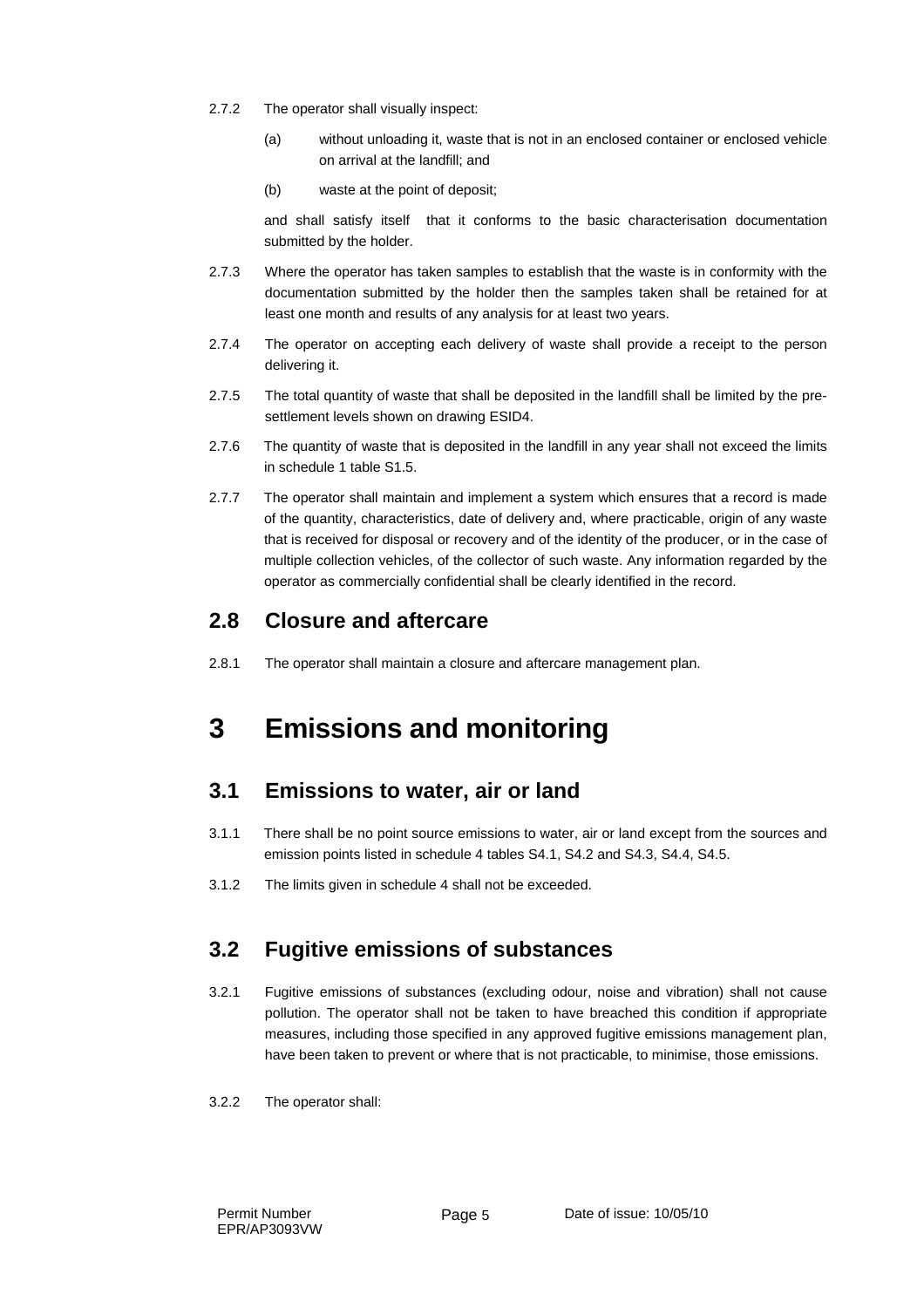- 2.7.2 The operator shall visually inspect:
	- (a) without unloading it, waste that is not in an enclosed container or enclosed vehicle on arrival at the landfill; and
	- (b) waste at the point of deposit;

and shall satisfy itself that it conforms to the basic characterisation documentation submitted by the holder.

- 2.7.3 Where the operator has taken samples to establish that the waste is in conformity with the documentation submitted by the holder then the samples taken shall be retained for at least one month and results of any analysis for at least two years.
- 2.7.4 The operator on accepting each delivery of waste shall provide a receipt to the person delivering it.
- 2.7.5 The total quantity of waste that shall be deposited in the landfill shall be limited by the presettlement levels shown on drawing ESID4.
- 2.7.6 The quantity of waste that is deposited in the landfill in any year shall not exceed the limits in schedule 1 table S1.5.
- 2.7.7 The operator shall maintain and implement a system which ensures that a record is made of the quantity, characteristics, date of delivery and, where practicable, origin of any waste that is received for disposal or recovery and of the identity of the producer, or in the case of multiple collection vehicles, of the collector of such waste. Any information regarded by the operator as commercially confidential shall be clearly identified in the record.

### **2.8 Closure and aftercare**

2.8.1 The operator shall maintain a closure and aftercare management plan.

## **3 Emissions and monitoring**

### **3.1 Emissions to water, air or land**

- 3.1.1 There shall be no point source emissions to water, air or land except from the sources and emission points listed in schedule 4 tables S4.1, S4.2 and S4.3, S4.4, S4.5.
- 3.1.2 The limits given in schedule 4 shall not be exceeded.

### **3.2 Fugitive emissions of substances**

- 3.2.1 Fugitive emissions of substances (excluding odour, noise and vibration) shall not cause pollution. The operator shall not be taken to have breached this condition if appropriate measures, including those specified in any approved fugitive emissions management plan, have been taken to prevent or where that is not practicable, to minimise, those emissions.
- 3.2.2 The operator shall: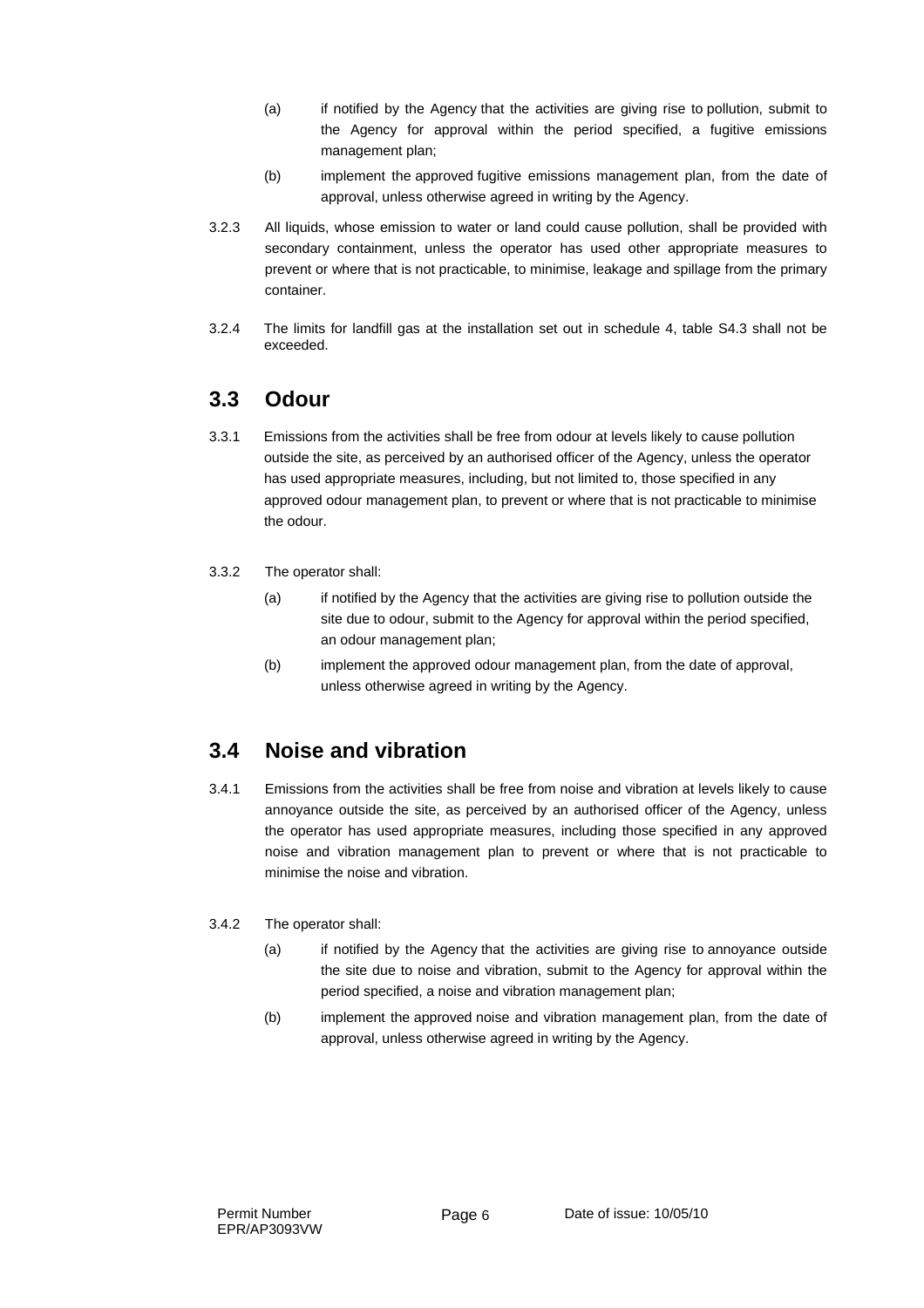- (a) if notified by the Agency that the activities are giving rise to pollution, submit to the Agency for approval within the period specified, a fugitive emissions management plan;
- (b) implement the approved fugitive emissions management plan, from the date of approval, unless otherwise agreed in writing by the Agency.
- 3.2.3 All liquids, whose emission to water or land could cause pollution, shall be provided with secondary containment, unless the operator has used other appropriate measures to prevent or where that is not practicable, to minimise, leakage and spillage from the primary container.
- 3.2.4 The limits for landfill gas at the installation set out in schedule 4, table S4.3 shall not be exceeded.

#### **3.3 Odour**

- 3.3.1 Emissions from the activities shall be free from odour at levels likely to cause pollution outside the site, as perceived by an authorised officer of the Agency, unless the operator has used appropriate measures, including, but not limited to, those specified in any approved odour management plan, to prevent or where that is not practicable to minimise the odour.
- 3.3.2 The operator shall:
	- (a) if notified by the Agency that the activities are giving rise to pollution outside the site due to odour, submit to the Agency for approval within the period specified, an odour management plan;
	- (b) implement the approved odour management plan, from the date of approval, unless otherwise agreed in writing by the Agency.

#### **3.4 Noise and vibration**

- 3.4.1 Emissions from the activities shall be free from noise and vibration at levels likely to cause annoyance outside the site, as perceived by an authorised officer of the Agency, unless the operator has used appropriate measures, including those specified in any approved noise and vibration management plan to prevent or where that is not practicable to minimise the noise and vibration.
- 3.4.2 The operator shall:
	- (a) if notified by the Agency that the activities are giving rise to annoyance outside the site due to noise and vibration, submit to the Agency for approval within the period specified, a noise and vibration management plan;
	- (b) implement the approved noise and vibration management plan, from the date of approval, unless otherwise agreed in writing by the Agency.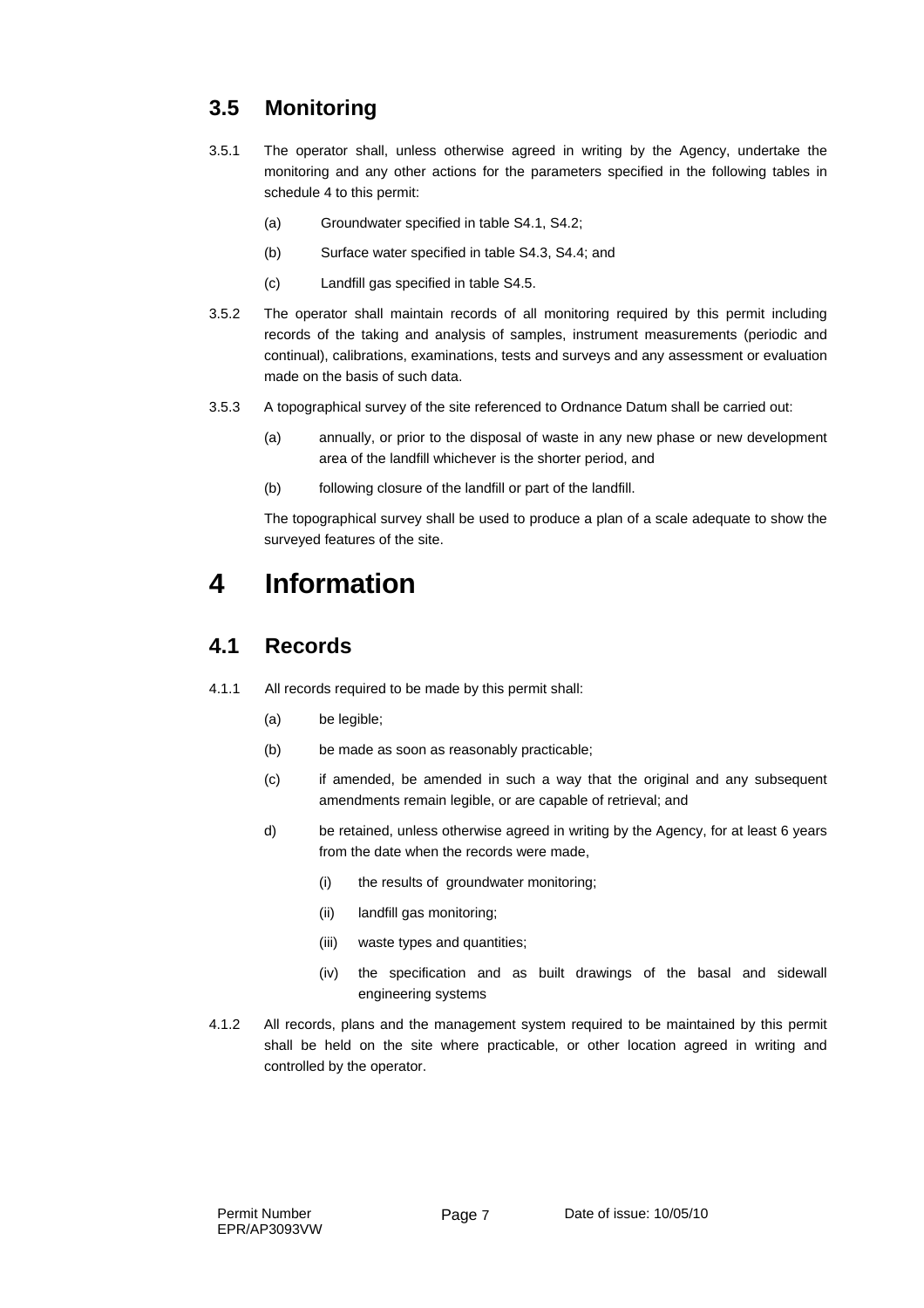### **3.5 Monitoring**

- 3.5.1 The operator shall, unless otherwise agreed in writing by the Agency, undertake the monitoring and any other actions for the parameters specified in the following tables in schedule 4 to this permit:
	- (a) Groundwater specified in table S4.1, S4.2;
	- (b) Surface water specified in table S4.3, S4.4; and
	- (c) Landfill gas specified in table S4.5.
- 3.5.2 The operator shall maintain records of all monitoring required by this permit including records of the taking and analysis of samples, instrument measurements (periodic and continual), calibrations, examinations, tests and surveys and any assessment or evaluation made on the basis of such data.
- 3.5.3 A topographical survey of the site referenced to Ordnance Datum shall be carried out:
	- (a) annually, or prior to the disposal of waste in any new phase or new development area of the landfill whichever is the shorter period, and
	- (b) following closure of the landfill or part of the landfill.

The topographical survey shall be used to produce a plan of a scale adequate to show the surveyed features of the site.

## **4 Information**

### **4.1 Records**

- 4.1.1 All records required to be made by this permit shall:
	- (a) be legible;
	- (b) be made as soon as reasonably practicable;
	- (c) if amended, be amended in such a way that the original and any subsequent amendments remain legible, or are capable of retrieval; and
	- d) be retained, unless otherwise agreed in writing by the Agency, for at least 6 years from the date when the records were made,
		- (i) the results of groundwater monitoring;
		- (ii) landfill gas monitoring;
		- (iii) waste types and quantities;
		- (iv) the specification and as built drawings of the basal and sidewall engineering systems
- 4.1.2 All records, plans and the management system required to be maintained by this permit shall be held on the site where practicable, or other location agreed in writing and controlled by the operator.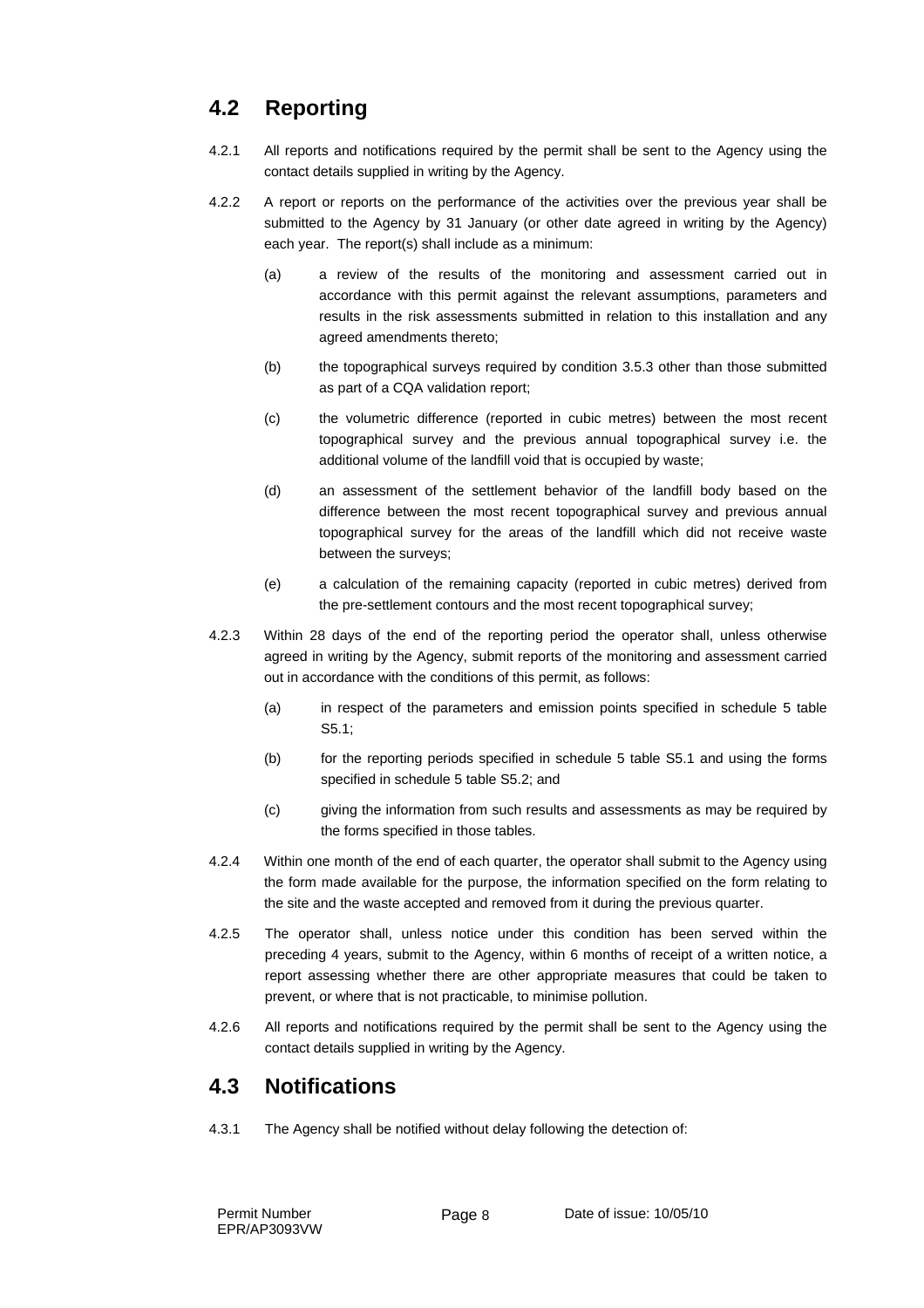### **4.2 Reporting**

- 4.2.1 All reports and notifications required by the permit shall be sent to the Agency using the contact details supplied in writing by the Agency.
- 4.2.2 A report or reports on the performance of the activities over the previous year shall be submitted to the Agency by 31 January (or other date agreed in writing by the Agency) each year. The report(s) shall include as a minimum:
	- (a) a review of the results of the monitoring and assessment carried out in accordance with this permit against the relevant assumptions, parameters and results in the risk assessments submitted in relation to this installation and any agreed amendments thereto;
	- (b) the topographical surveys required by condition 3.5.3 other than those submitted as part of a CQA validation report;
	- (c) the volumetric difference (reported in cubic metres) between the most recent topographical survey and the previous annual topographical survey i.e. the additional volume of the landfill void that is occupied by waste;
	- (d) an assessment of the settlement behavior of the landfill body based on the difference between the most recent topographical survey and previous annual topographical survey for the areas of the landfill which did not receive waste between the surveys;
	- (e) a calculation of the remaining capacity (reported in cubic metres) derived from the pre-settlement contours and the most recent topographical survey;
- 4.2.3 Within 28 days of the end of the reporting period the operator shall, unless otherwise agreed in writing by the Agency, submit reports of the monitoring and assessment carried out in accordance with the conditions of this permit, as follows:
	- (a) in respect of the parameters and emission points specified in schedule 5 table S5.1;
	- (b) for the reporting periods specified in schedule 5 table S5.1 and using the forms specified in schedule 5 table S5.2; and
	- (c) giving the information from such results and assessments as may be required by the forms specified in those tables.
- 4.2.4 Within one month of the end of each quarter, the operator shall submit to the Agency using the form made available for the purpose, the information specified on the form relating to the site and the waste accepted and removed from it during the previous quarter.
- 4.2.5 The operator shall, unless notice under this condition has been served within the preceding 4 years, submit to the Agency, within 6 months of receipt of a written notice, a report assessing whether there are other appropriate measures that could be taken to prevent, or where that is not practicable, to minimise pollution.
- 4.2.6 All reports and notifications required by the permit shall be sent to the Agency using the contact details supplied in writing by the Agency.

#### **4.3 Notifications**

4.3.1 The Agency shall be notified without delay following the detection of: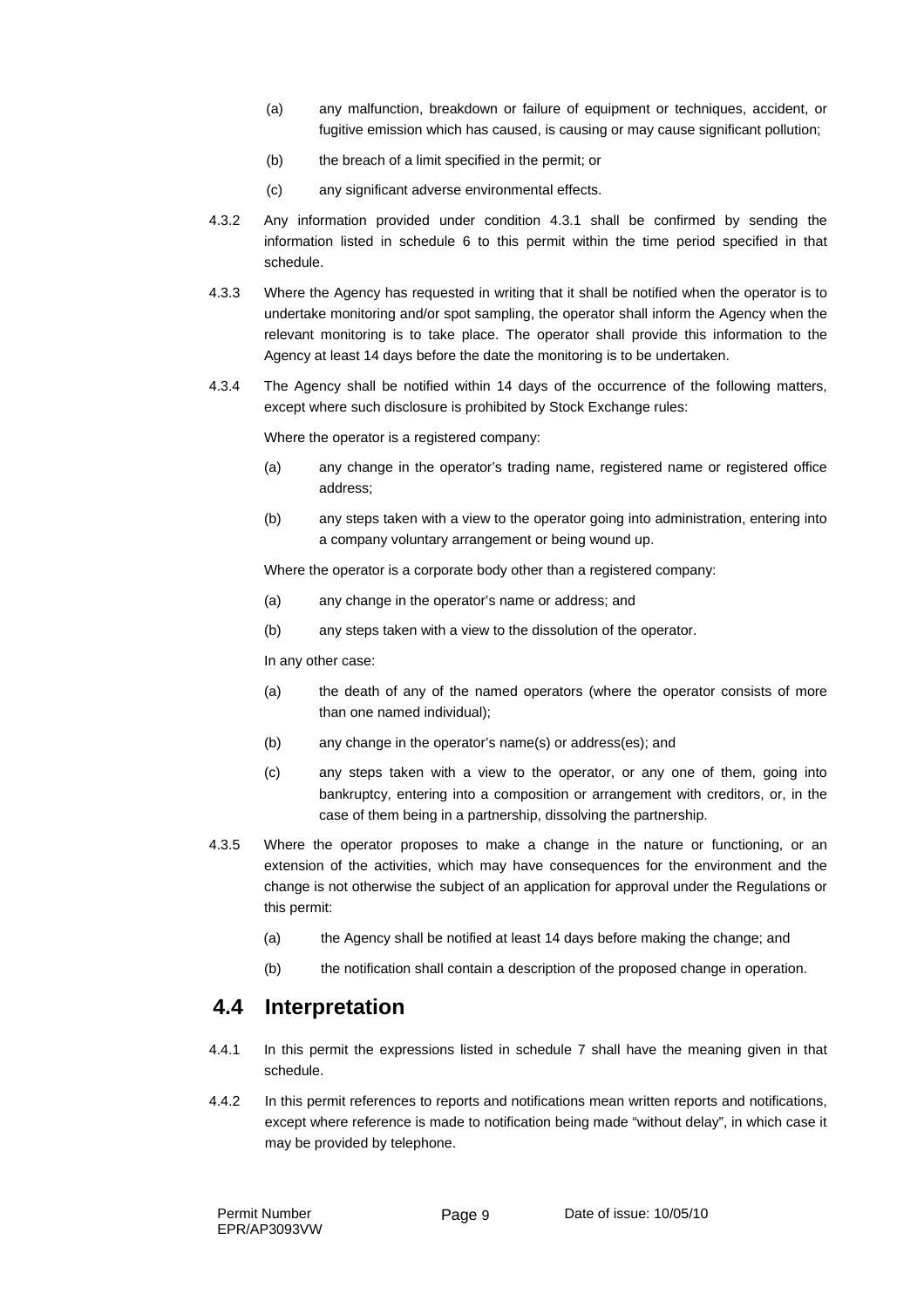- (a) any malfunction, breakdown or failure of equipment or techniques, accident, or fugitive emission which has caused, is causing or may cause significant pollution;
- (b) the breach of a limit specified in the permit; or
- (c) any significant adverse environmental effects.
- 4.3.2 Any information provided under condition 4.3.1 shall be confirmed by sending the information listed in schedule 6 to this permit within the time period specified in that schedule.
- 4.3.3 Where the Agency has requested in writing that it shall be notified when the operator is to undertake monitoring and/or spot sampling, the operator shall inform the Agency when the relevant monitoring is to take place. The operator shall provide this information to the Agency at least 14 days before the date the monitoring is to be undertaken.
- 4.3.4 The Agency shall be notified within 14 days of the occurrence of the following matters, except where such disclosure is prohibited by Stock Exchange rules:

Where the operator is a registered company:

- (a) any change in the operator's trading name, registered name or registered office address;
- (b) any steps taken with a view to the operator going into administration, entering into a company voluntary arrangement or being wound up.

Where the operator is a corporate body other than a registered company:

- (a) any change in the operator's name or address; and
- (b) any steps taken with a view to the dissolution of the operator.

In any other case:

- (a) the death of any of the named operators (where the operator consists of more than one named individual);
- (b) any change in the operator's name(s) or address(es); and
- (c) any steps taken with a view to the operator, or any one of them, going into bankruptcy, entering into a composition or arrangement with creditors, or, in the case of them being in a partnership, dissolving the partnership.
- 4.3.5 Where the operator proposes to make a change in the nature or functioning, or an extension of the activities, which may have consequences for the environment and the change is not otherwise the subject of an application for approval under the Regulations or this permit:
	- (a) the Agency shall be notified at least 14 days before making the change; and
	- (b) the notification shall contain a description of the proposed change in operation.

#### **4.4 Interpretation**

- 4.4.1 In this permit the expressions listed in schedule 7 shall have the meaning given in that schedule.
- 4.4.2 In this permit references to reports and notifications mean written reports and notifications, except where reference is made to notification being made "without delay", in which case it may be provided by telephone.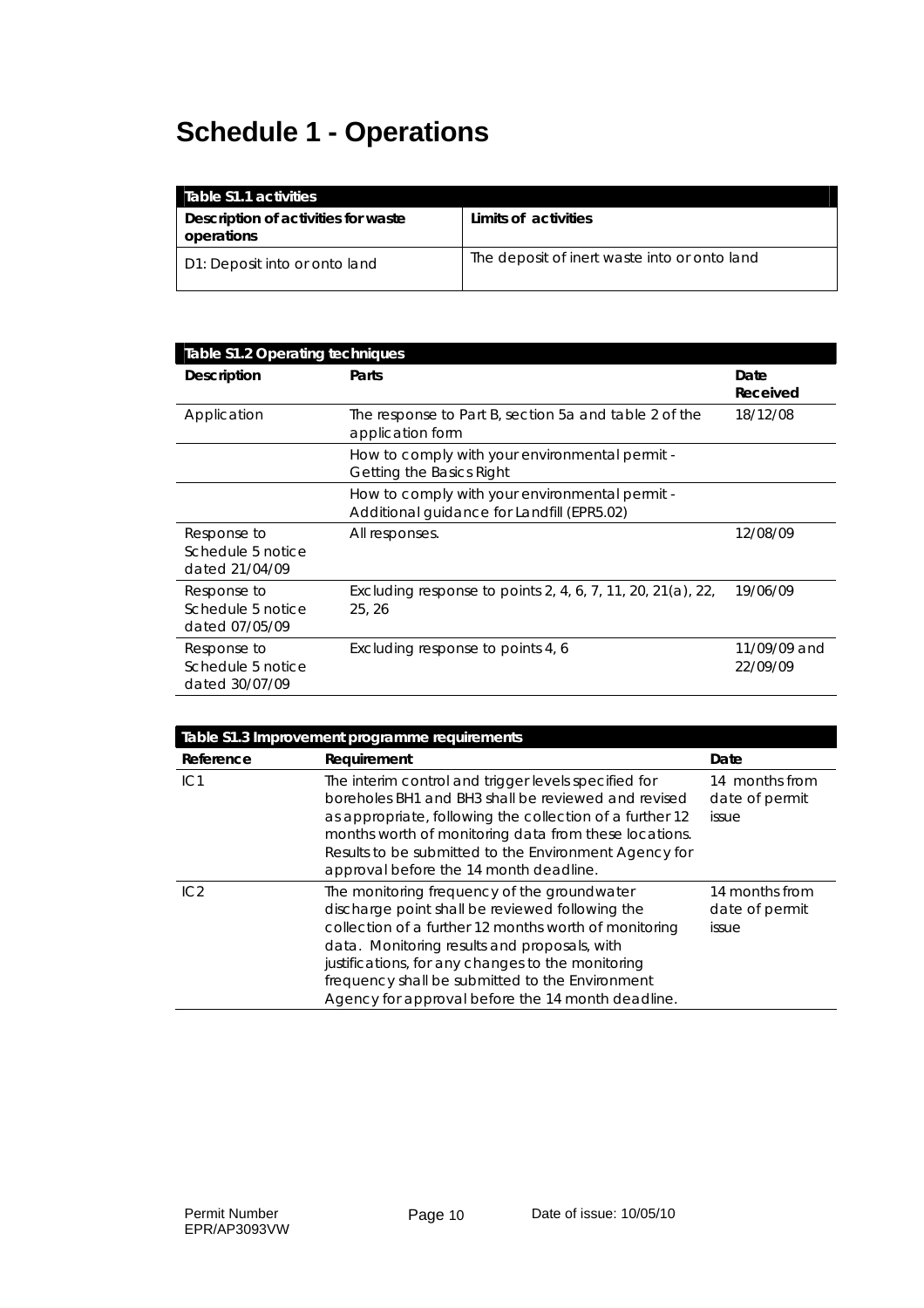# **Schedule 1 - Operations**

| Table \$1.1 activities                            |                                              |
|---------------------------------------------------|----------------------------------------------|
| Description of activities for waste<br>operations | Limits of activities                         |
| D1: Deposit into or onto land                     | The deposit of inert waste into or onto land |

| <b>Table S1.2 Operating techniques</b>             |                                                                                              |                          |  |  |  |  |
|----------------------------------------------------|----------------------------------------------------------------------------------------------|--------------------------|--|--|--|--|
| <b>Description</b>                                 | Parts                                                                                        | Date<br>Received         |  |  |  |  |
| Application                                        | The response to Part B, section 5a and table 2 of the<br>application form                    | 18/12/08                 |  |  |  |  |
|                                                    | How to comply with your environmental permit -<br>Getting the Basics Right                   |                          |  |  |  |  |
|                                                    | How to comply with your environmental permit -<br>Additional quidance for Landfill (EPR5.02) |                          |  |  |  |  |
| Response to<br>Schedule 5 notice<br>dated 21/04/09 | All responses.                                                                               | 12/08/09                 |  |  |  |  |
| Response to<br>Schedule 5 notice<br>dated 07/05/09 | Excluding response to points 2, 4, 6, 7, 11, 20, 21(a), 22,<br>25, 26                        | 19/06/09                 |  |  |  |  |
| Response to<br>Schedule 5 notice<br>dated 30/07/09 | Excluding response to points 4, 6                                                            | 11/09/09 and<br>22/09/09 |  |  |  |  |

| Table S1.3 Improvement programme requirements |                                                                                                                                                                                                                                                                                                                                                                      |                                           |  |  |  |  |
|-----------------------------------------------|----------------------------------------------------------------------------------------------------------------------------------------------------------------------------------------------------------------------------------------------------------------------------------------------------------------------------------------------------------------------|-------------------------------------------|--|--|--|--|
| Reference                                     | Requirement                                                                                                                                                                                                                                                                                                                                                          | Date                                      |  |  |  |  |
| IC1                                           | The interim control and trigger levels specified for<br>boreholes BH1 and BH3 shall be reviewed and revised<br>as appropriate, following the collection of a further 12<br>months worth of monitoring data from these locations.<br>Results to be submitted to the Environment Agency for<br>approval before the 14 month deadline.                                  | 14 months from<br>date of permit<br>issue |  |  |  |  |
| IC <sub>2</sub>                               | The monitoring frequency of the groundwater<br>discharge point shall be reviewed following the<br>collection of a further 12 months worth of monitoring<br>data. Monitoring results and proposals, with<br>justifications, for any changes to the monitoring<br>frequency shall be submitted to the Environment<br>Agency for approval before the 14 month deadline. | 14 months from<br>date of permit<br>issue |  |  |  |  |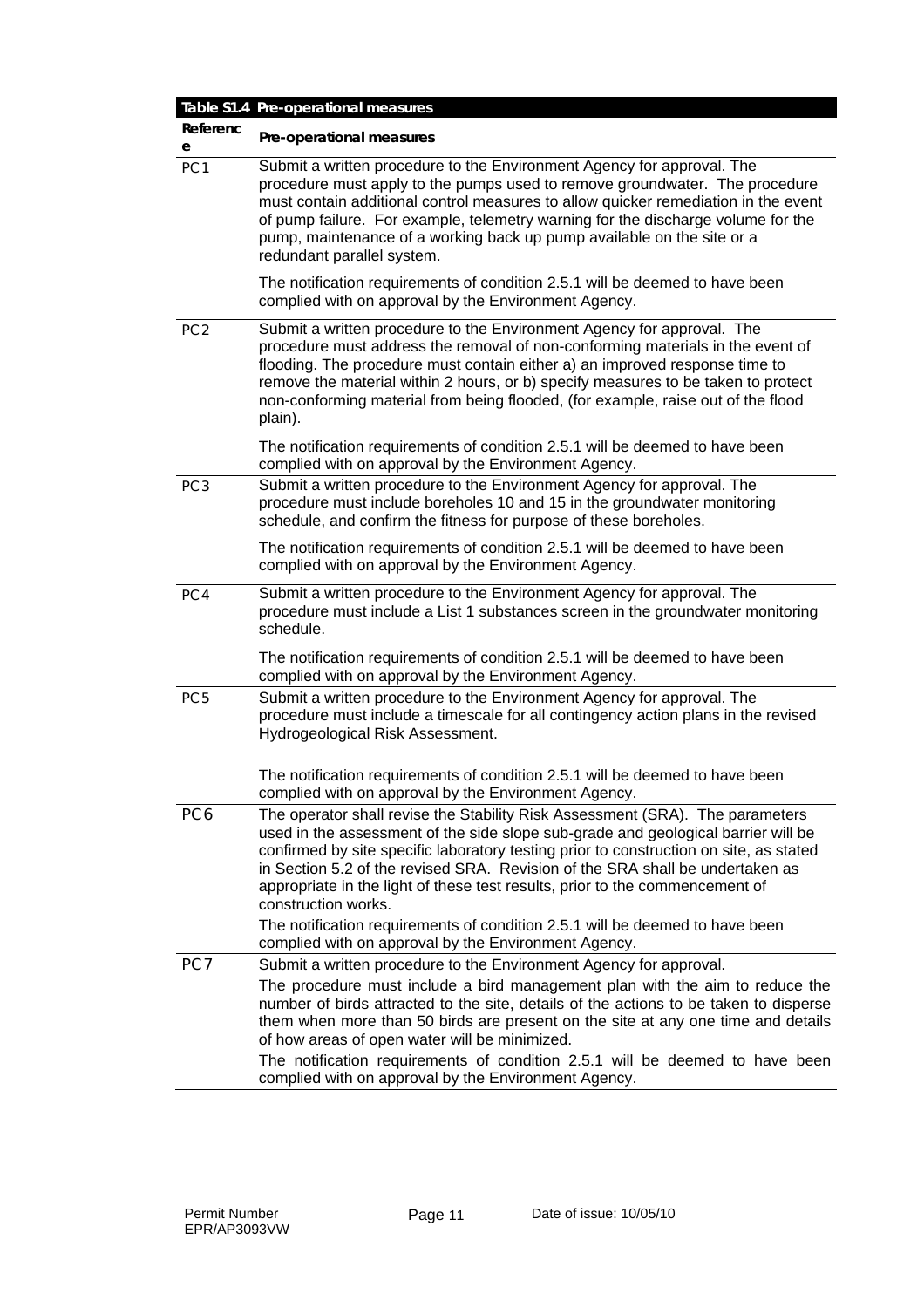|                 | Table S1.4 Pre-operational measures                                                                                                                                                                                                                                                                                                                                                                                                                  |
|-----------------|------------------------------------------------------------------------------------------------------------------------------------------------------------------------------------------------------------------------------------------------------------------------------------------------------------------------------------------------------------------------------------------------------------------------------------------------------|
| Referenc<br>e   | Pre-operational measures                                                                                                                                                                                                                                                                                                                                                                                                                             |
| PC <sub>1</sub> | Submit a written procedure to the Environment Agency for approval. The<br>procedure must apply to the pumps used to remove groundwater. The procedure<br>must contain additional control measures to allow quicker remediation in the event<br>of pump failure. For example, telemetry warning for the discharge volume for the<br>pump, maintenance of a working back up pump available on the site or a<br>redundant parallel system.              |
|                 | The notification requirements of condition 2.5.1 will be deemed to have been<br>complied with on approval by the Environment Agency.                                                                                                                                                                                                                                                                                                                 |
| PC <sub>2</sub> | Submit a written procedure to the Environment Agency for approval. The<br>procedure must address the removal of non-conforming materials in the event of<br>flooding. The procedure must contain either a) an improved response time to<br>remove the material within 2 hours, or b) specify measures to be taken to protect<br>non-conforming material from being flooded, (for example, raise out of the flood<br>plain).                          |
|                 | The notification requirements of condition 2.5.1 will be deemed to have been<br>complied with on approval by the Environment Agency.                                                                                                                                                                                                                                                                                                                 |
| PC <sub>3</sub> | Submit a written procedure to the Environment Agency for approval. The<br>procedure must include boreholes 10 and 15 in the groundwater monitoring<br>schedule, and confirm the fitness for purpose of these boreholes.                                                                                                                                                                                                                              |
|                 | The notification requirements of condition 2.5.1 will be deemed to have been<br>complied with on approval by the Environment Agency.                                                                                                                                                                                                                                                                                                                 |
| PC4             | Submit a written procedure to the Environment Agency for approval. The<br>procedure must include a List 1 substances screen in the groundwater monitoring<br>schedule.                                                                                                                                                                                                                                                                               |
|                 | The notification requirements of condition 2.5.1 will be deemed to have been<br>complied with on approval by the Environment Agency.                                                                                                                                                                                                                                                                                                                 |
| PC <sub>5</sub> | Submit a written procedure to the Environment Agency for approval. The<br>procedure must include a timescale for all contingency action plans in the revised<br>Hydrogeological Risk Assessment.                                                                                                                                                                                                                                                     |
|                 | The notification requirements of condition 2.5.1 will be deemed to have been<br>complied with on approval by the Environment Agency.                                                                                                                                                                                                                                                                                                                 |
| PC <sub>6</sub> | The operator shall revise the Stability Risk Assessment (SRA). The parameters<br>used in the assessment of the side slope sub-grade and geological barrier will be<br>confirmed by site specific laboratory testing prior to construction on site, as stated<br>in Section 5.2 of the revised SRA. Revision of the SRA shall be undertaken as<br>appropriate in the light of these test results, prior to the commencement of<br>construction works. |
|                 | The notification requirements of condition 2.5.1 will be deemed to have been<br>complied with on approval by the Environment Agency.                                                                                                                                                                                                                                                                                                                 |
| PC7             | Submit a written procedure to the Environment Agency for approval.                                                                                                                                                                                                                                                                                                                                                                                   |
|                 | The procedure must include a bird management plan with the aim to reduce the<br>number of birds attracted to the site, details of the actions to be taken to disperse<br>them when more than 50 birds are present on the site at any one time and details<br>of how areas of open water will be minimized.                                                                                                                                           |
|                 | The notification requirements of condition 2.5.1 will be deemed to have been<br>complied with on approval by the Environment Agency.                                                                                                                                                                                                                                                                                                                 |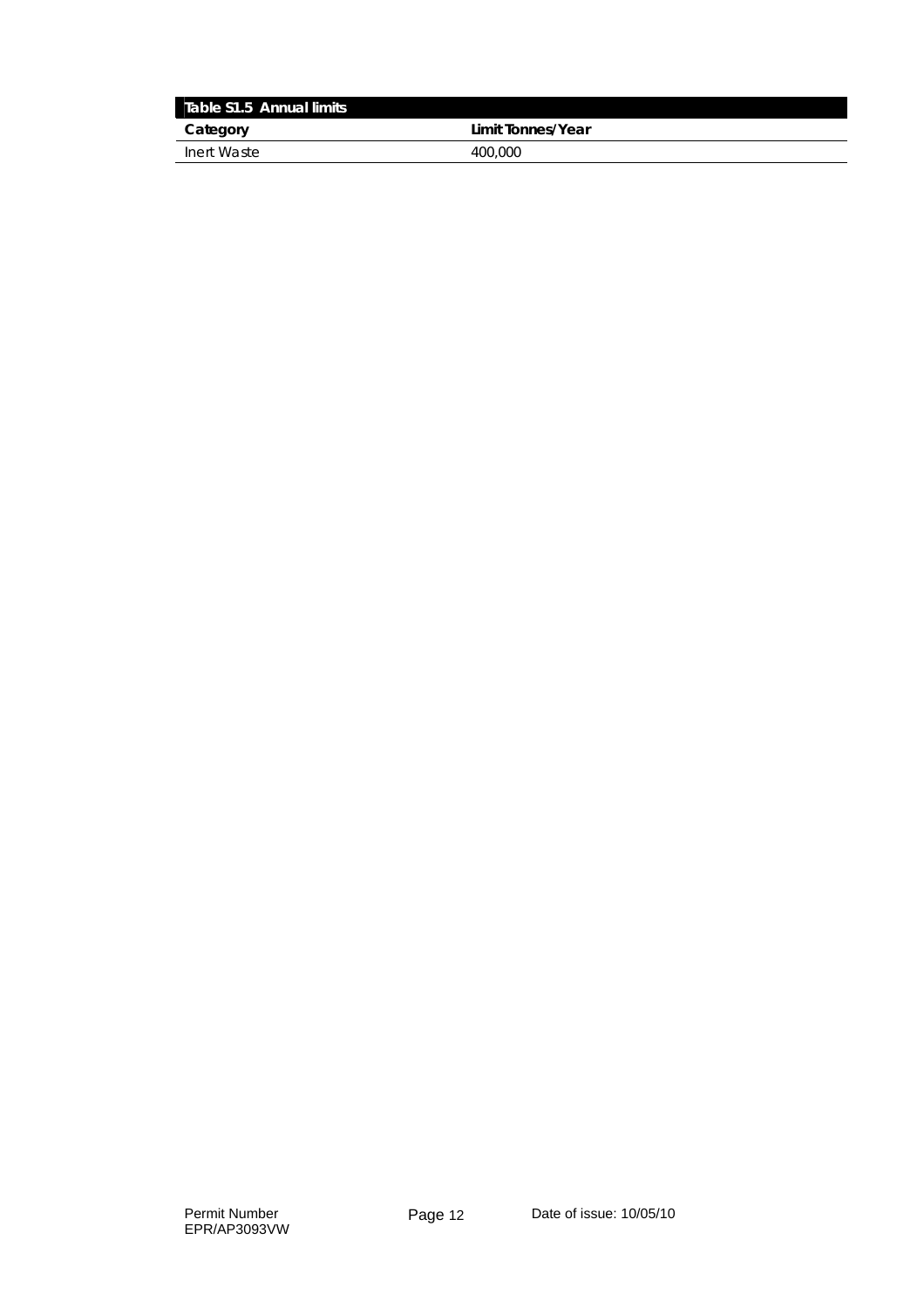| Table S1.5 Annual limits |                   |
|--------------------------|-------------------|
| Category                 | Limit Tonnes/Year |
| Inert Waste              | 400,000           |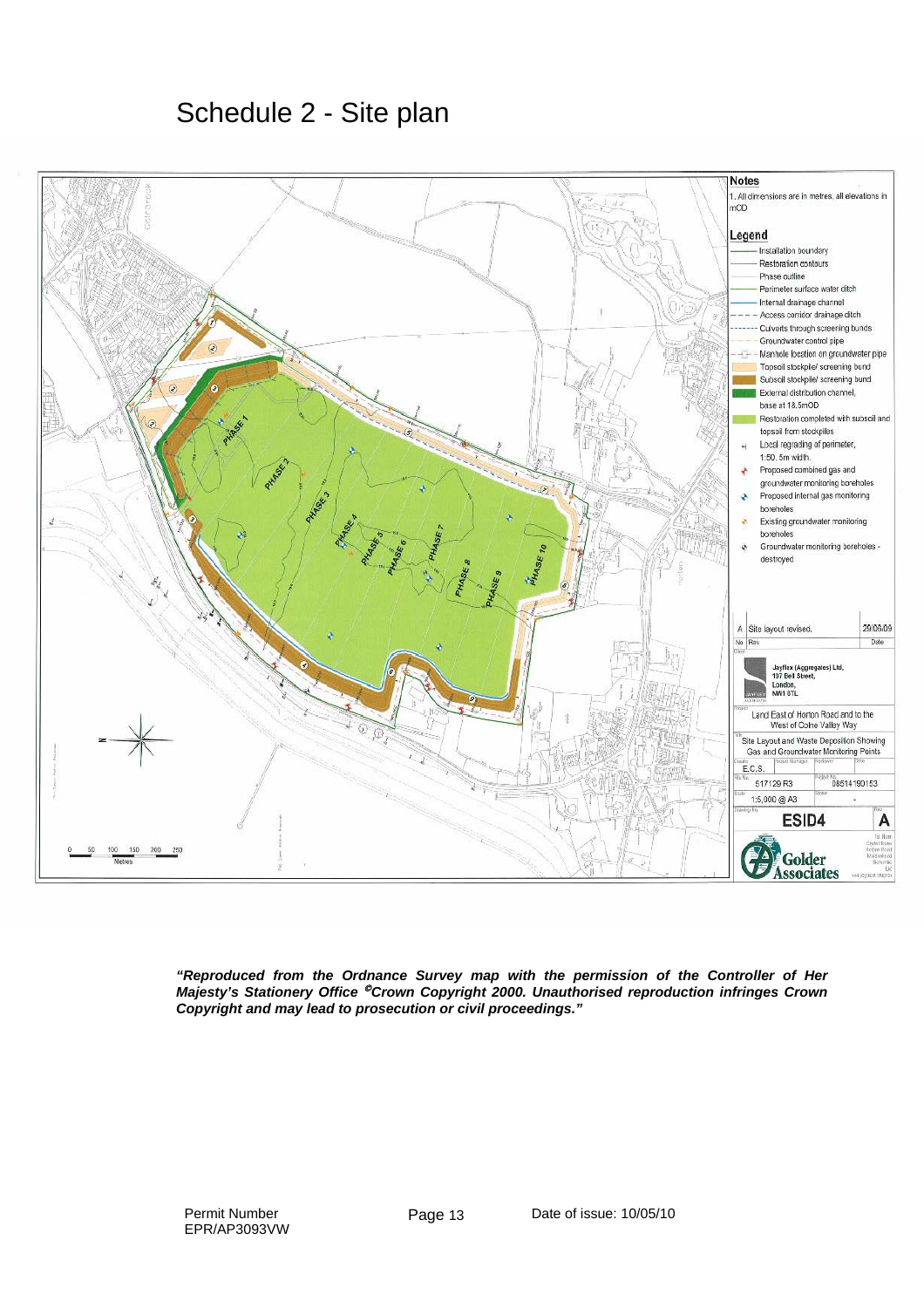Schedule 2 - Site plan



*"Reproduced from the Ordnance Survey map with the permission of the Controller of Her Majesty's Stationery Office* © *Crown Copyright 2000. Unauthorised reproduction infringes Crown Copyright and may lead to prosecution or civil proceedings."*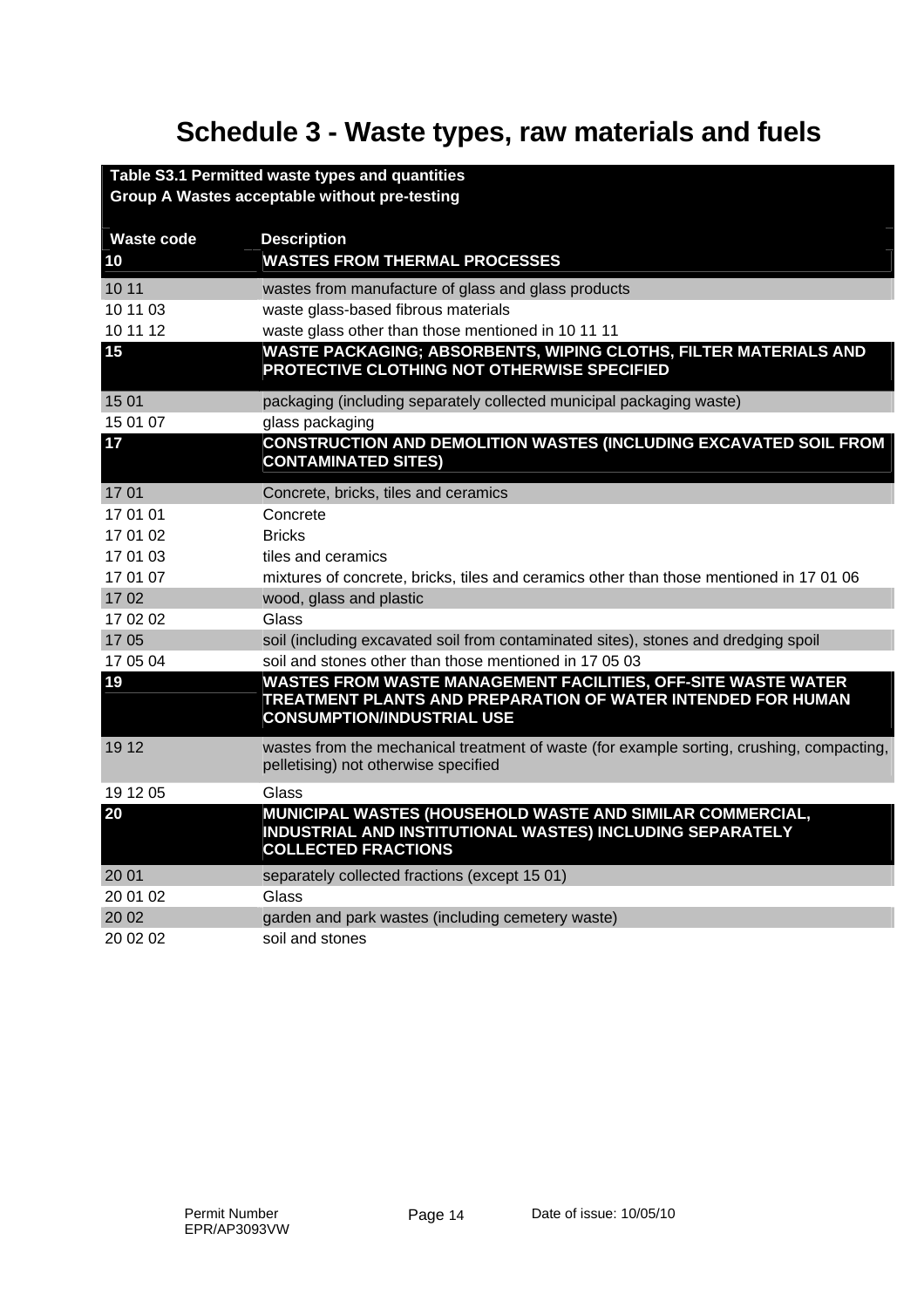# **Schedule 3 - Waste types, raw materials and fuels**

|                   | Table S3.1 Permitted waste types and quantities                                                                                                                    |
|-------------------|--------------------------------------------------------------------------------------------------------------------------------------------------------------------|
|                   | Group A Wastes acceptable without pre-testing                                                                                                                      |
|                   |                                                                                                                                                                    |
| <b>Waste code</b> | <b>Description</b>                                                                                                                                                 |
| 10                | <b>WASTES FROM THERMAL PROCESSES</b>                                                                                                                               |
| 10 11             | wastes from manufacture of glass and glass products                                                                                                                |
| 10 11 03          | waste glass-based fibrous materials                                                                                                                                |
| 10 11 12          | waste glass other than those mentioned in 10 11 11                                                                                                                 |
| 15                | WASTE PACKAGING; ABSORBENTS, WIPING CLOTHS, FILTER MATERIALS AND<br>PROTECTIVE CLOTHING NOT OTHERWISE SPECIFIED                                                    |
| 15 01             | packaging (including separately collected municipal packaging waste)                                                                                               |
| 15 01 07          | glass packaging                                                                                                                                                    |
| 17                | <b>CONSTRUCTION AND DEMOLITION WASTES (INCLUDING EXCAVATED SOIL FROM</b><br><b>CONTAMINATED SITES)</b>                                                             |
| 1701              | Concrete, bricks, tiles and ceramics                                                                                                                               |
| 17 01 01          | Concrete                                                                                                                                                           |
| 17 01 02          | <b>Bricks</b>                                                                                                                                                      |
| 17 01 03          | tiles and ceramics                                                                                                                                                 |
| 17 01 07          | mixtures of concrete, bricks, tiles and ceramics other than those mentioned in 17 01 06                                                                            |
| 1702              | wood, glass and plastic                                                                                                                                            |
| 17 02 02          | Glass                                                                                                                                                              |
| 1705              | soil (including excavated soil from contaminated sites), stones and dredging spoil                                                                                 |
| 17 05 04          | soil and stones other than those mentioned in 17 05 03                                                                                                             |
| 19                | WASTES FROM WASTE MANAGEMENT FACILITIES, OFF-SITE WASTE WATER<br>TREATMENT PLANTS AND PREPARATION OF WATER INTENDED FOR HUMAN<br><b>CONSUMPTION/INDUSTRIAL USE</b> |
| 19 12             | wastes from the mechanical treatment of waste (for example sorting, crushing, compacting,<br>pelletising) not otherwise specified                                  |
| 19 12 05          | Glass                                                                                                                                                              |
| 20                | MUNICIPAL WASTES (HOUSEHOLD WASTE AND SIMILAR COMMERCIAL,<br>INDUSTRIAL AND INSTITUTIONAL WASTES) INCLUDING SEPARATELY<br><b>COLLECTED FRACTIONS</b>               |
| 20 01             | separately collected fractions (except 15 01)                                                                                                                      |
| 20 01 02          | Glass                                                                                                                                                              |
| 20 02             | garden and park wastes (including cemetery waste)                                                                                                                  |
| 20 02 02          | soil and stones                                                                                                                                                    |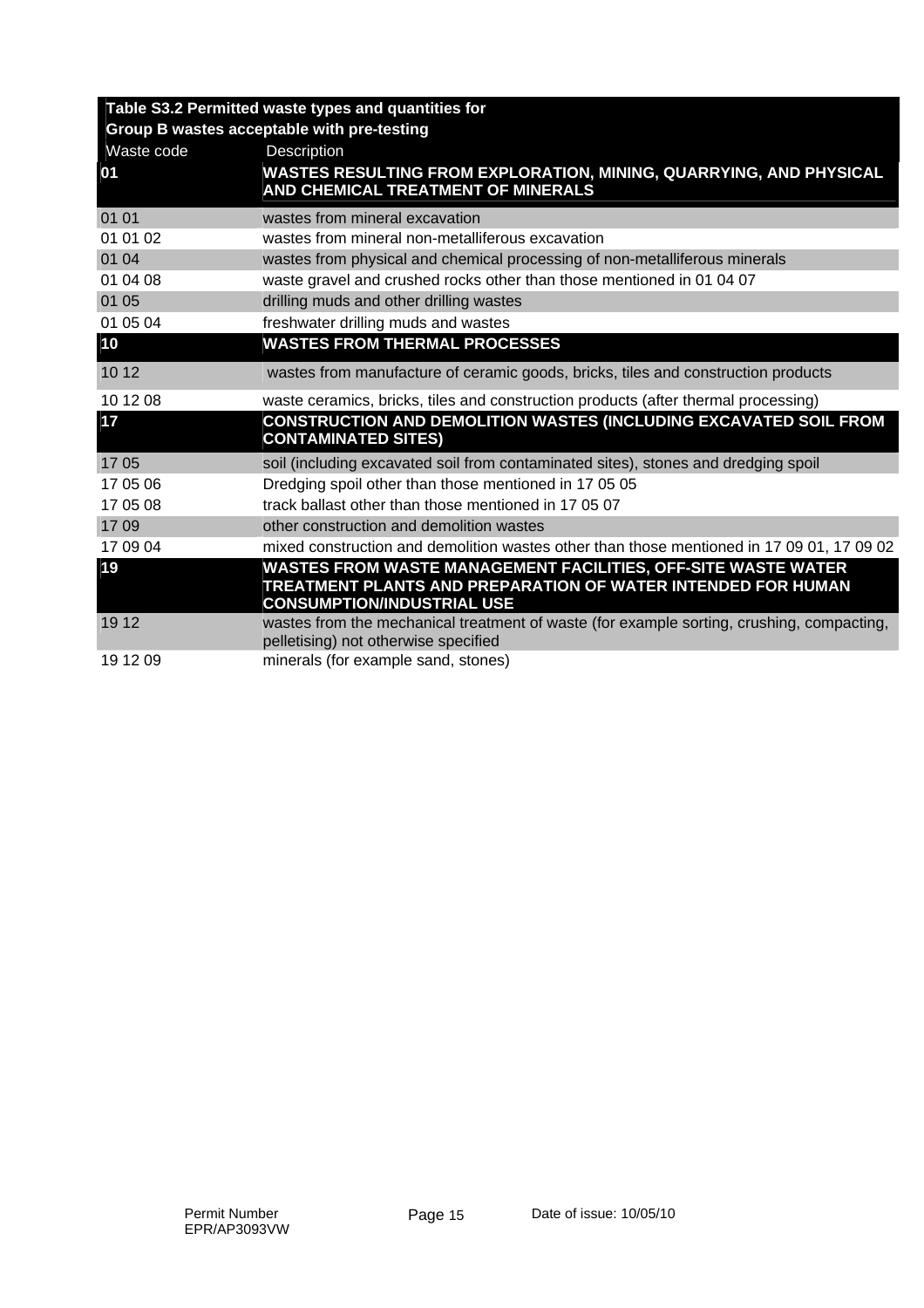|            | Table S3.2 Permitted waste types and quantities for                                                                               |
|------------|-----------------------------------------------------------------------------------------------------------------------------------|
|            | Group B wastes acceptable with pre-testing                                                                                        |
| Waste code | Description                                                                                                                       |
| 01         | WASTES RESULTING FROM EXPLORATION, MINING, QUARRYING, AND PHYSICAL<br>AND CHEMICAL TREATMENT OF MINERALS                          |
|            |                                                                                                                                   |
| 01 01      | wastes from mineral excavation                                                                                                    |
| 01 01 02   | wastes from mineral non-metalliferous excavation                                                                                  |
| 01 04      | wastes from physical and chemical processing of non-metalliferous minerals                                                        |
| 01 04 08   | waste gravel and crushed rocks other than those mentioned in 01 04 07                                                             |
| 01 05      | drilling muds and other drilling wastes                                                                                           |
| 01 05 04   | freshwater drilling muds and wastes                                                                                               |
| 10         | <b>WASTES FROM THERMAL PROCESSES</b>                                                                                              |
| 10 12      | wastes from manufacture of ceramic goods, bricks, tiles and construction products                                                 |
| 10 12 08   | waste ceramics, bricks, tiles and construction products (after thermal processing)                                                |
| 17         | CONSTRUCTION AND DEMOLITION WASTES (INCLUDING EXCAVATED SOIL FROM<br><b>CONTAMINATED SITES)</b>                                   |
| 1705       | soil (including excavated soil from contaminated sites), stones and dredging spoil                                                |
| 17 05 06   | Dredging spoil other than those mentioned in 17 05 05                                                                             |
| 17 05 08   | track ballast other than those mentioned in 17 05 07                                                                              |
| 1709       | other construction and demolition wastes                                                                                          |
| 17 09 04   | mixed construction and demolition wastes other than those mentioned in 17 09 01, 17 09 02                                         |
| 19         | WASTES FROM WASTE MANAGEMENT FACILITIES, OFF-SITE WASTE WATER                                                                     |
|            | TREATMENT PLANTS AND PREPARATION OF WATER INTENDED FOR HUMAN<br><b>CONSUMPTION/INDUSTRIAL USE</b>                                 |
| 19 12      | wastes from the mechanical treatment of waste (for example sorting, crushing, compacting,<br>pelletising) not otherwise specified |
| 19 12 09   | minerals (for example sand, stones)                                                                                               |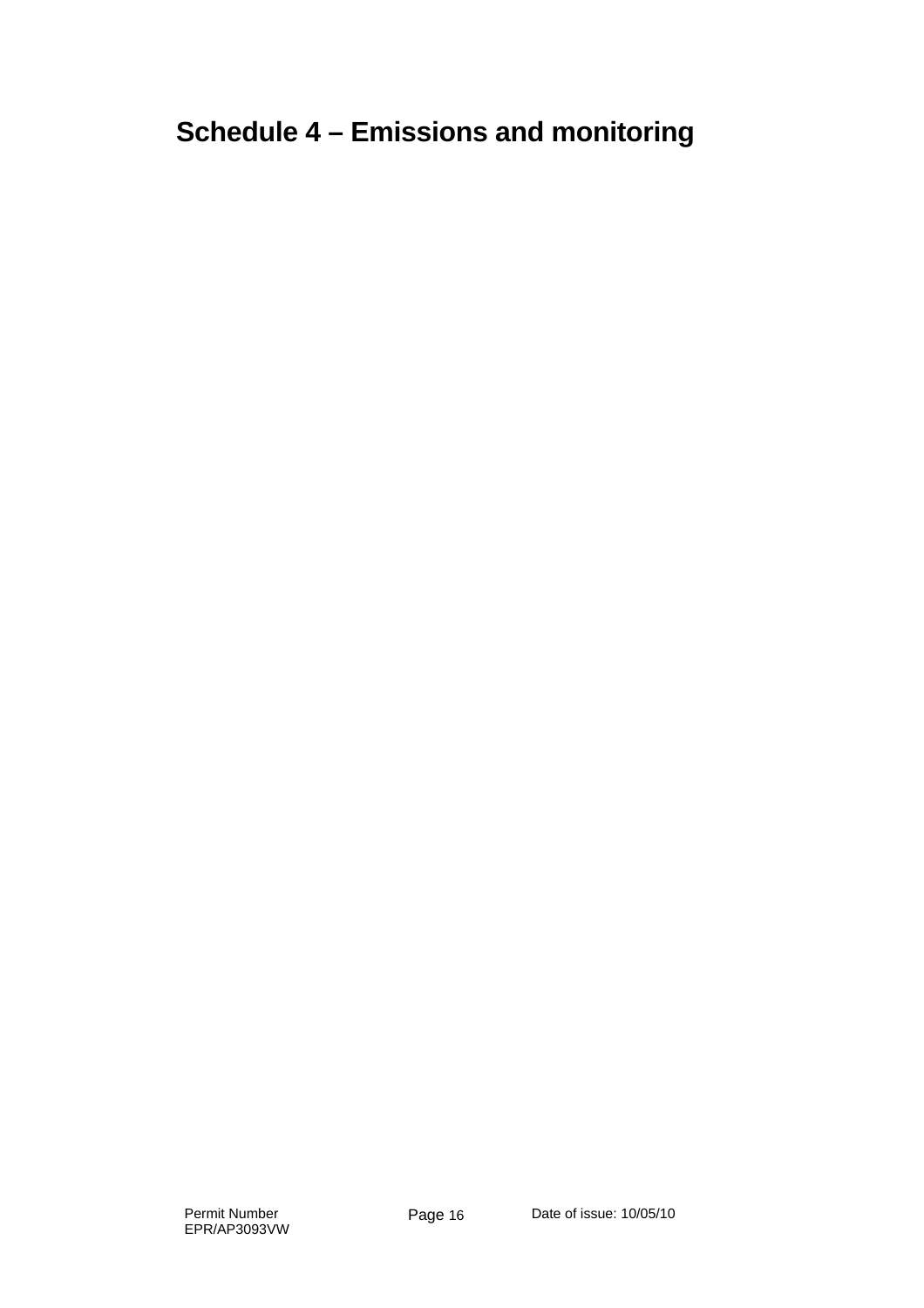# **Schedule 4 – Emissions and monitoring**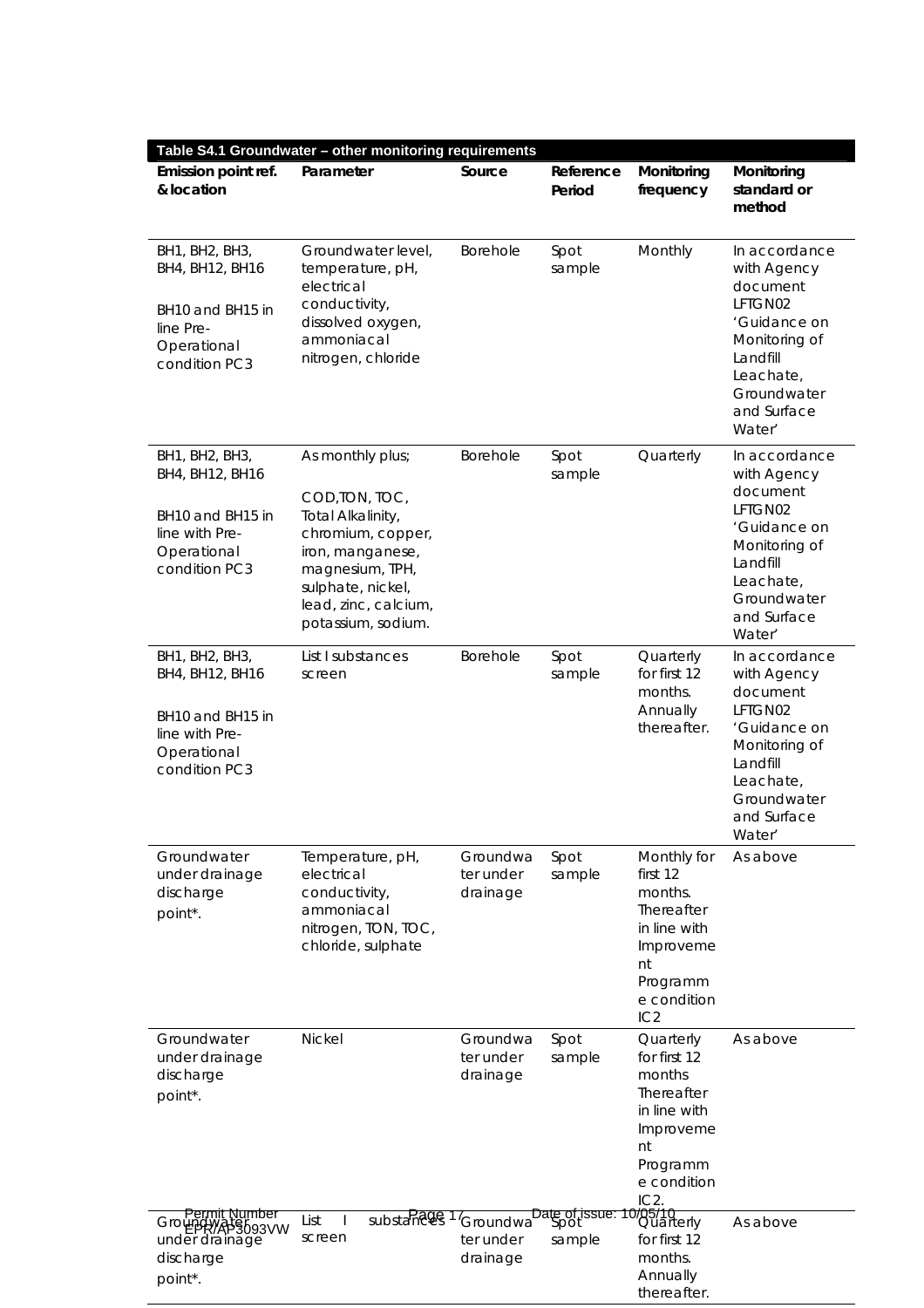| Table S4.1 Groundwater - other monitoring requirements                                                  |                                                                                                                                                                                        |                                                                                    |                     |                                                                                                                         |                                                                                                                                                       |  |  |
|---------------------------------------------------------------------------------------------------------|----------------------------------------------------------------------------------------------------------------------------------------------------------------------------------------|------------------------------------------------------------------------------------|---------------------|-------------------------------------------------------------------------------------------------------------------------|-------------------------------------------------------------------------------------------------------------------------------------------------------|--|--|
| Emission point ref.<br>& location                                                                       | Parameter                                                                                                                                                                              | Source                                                                             | Reference<br>Period | Monitoring<br>frequency                                                                                                 | Monitoring<br>standard or<br>method                                                                                                                   |  |  |
| BH1, BH2, BH3,<br>BH4, BH12, BH16<br>BH10 and BH15 in<br>line Pre-<br>Operational<br>condition PC3      | Groundwater level.<br>temperature, pH,<br>electrical<br>conductivity,<br>dissolved oxygen,<br>ammoniacal<br>nitrogen, chloride                                                         | <b>Borehole</b>                                                                    | Spot<br>sample      | Monthly                                                                                                                 | In accordance<br>with Agency<br>document<br>LFTGN02<br>'Guidance on<br>Monitoring of<br>Landfill<br>Leachate,<br>Groundwater<br>and Surface<br>Water' |  |  |
| BH1, BH2, BH3,<br>BH4, BH12, BH16<br>BH10 and BH15 in<br>line with Pre-<br>Operational<br>condition PC3 | As monthly plus;<br>COD, TON, TOC,<br>Total Alkalinity,<br>chromium, copper,<br>iron, manganese,<br>magnesium, TPH,<br>sulphate, nickel,<br>lead, zinc, calcium,<br>potassium, sodium. | <b>Borehole</b>                                                                    | Spot<br>sample      | Quarterly                                                                                                               | In accordance<br>with Agency<br>document<br>LFTGN02<br>'Guidance on<br>Monitoring of<br>Landfill<br>Leachate,<br>Groundwater<br>and Surface<br>Water' |  |  |
| BH1, BH2, BH3,<br>BH4, BH12, BH16<br>BH10 and BH15 in<br>line with Pre-<br>Operational<br>condition PC3 | List I substances<br>screen                                                                                                                                                            | Borehole                                                                           | Spot<br>sample      | Quarterly<br>for first 12<br>months.<br>Annually<br>thereafter.                                                         | In accordance<br>with Agency<br>document<br>LFTGN02<br>'Guidance on<br>Monitoring of<br>Landfill<br>Leachate,<br>Groundwater<br>and Surface<br>Water' |  |  |
| Groundwater<br>under drainage<br>discharge<br>point*.                                                   | Temperature, pH,<br>electrical<br>conductivity,<br>ammoniacal<br>nitrogen, TON, TOC,<br>chloride, sulphate                                                                             | Groundwa<br>ter under<br>drainage                                                  | Spot<br>sample      | Monthly for<br>first 12<br>months.<br>Thereafter<br>in line with<br>Improveme<br>nt<br>Programm<br>e condition<br>IC2   | As above                                                                                                                                              |  |  |
| Groundwater<br>under drainage<br>discharge<br>point*.                                                   | <b>Nickel</b>                                                                                                                                                                          | Groundwa<br>ter under<br>drainage                                                  | Spot<br>sample      | Quarterly<br>for first 12<br>months<br>Thereafter<br>in line with<br>Improveme<br>nt<br>Programm<br>e condition<br>IC2. | As above                                                                                                                                              |  |  |
| <u>Permit Number</u><br>3093VW<br>under drainage<br>discharge<br>point*.                                | List<br>screen                                                                                                                                                                         | substances 17 <sub>Groundwa</sub> Date of issue: 10/05/10<br>ter under<br>drainage | sample              | for first 12<br>months.<br>Annually<br>thereafter.                                                                      | As above                                                                                                                                              |  |  |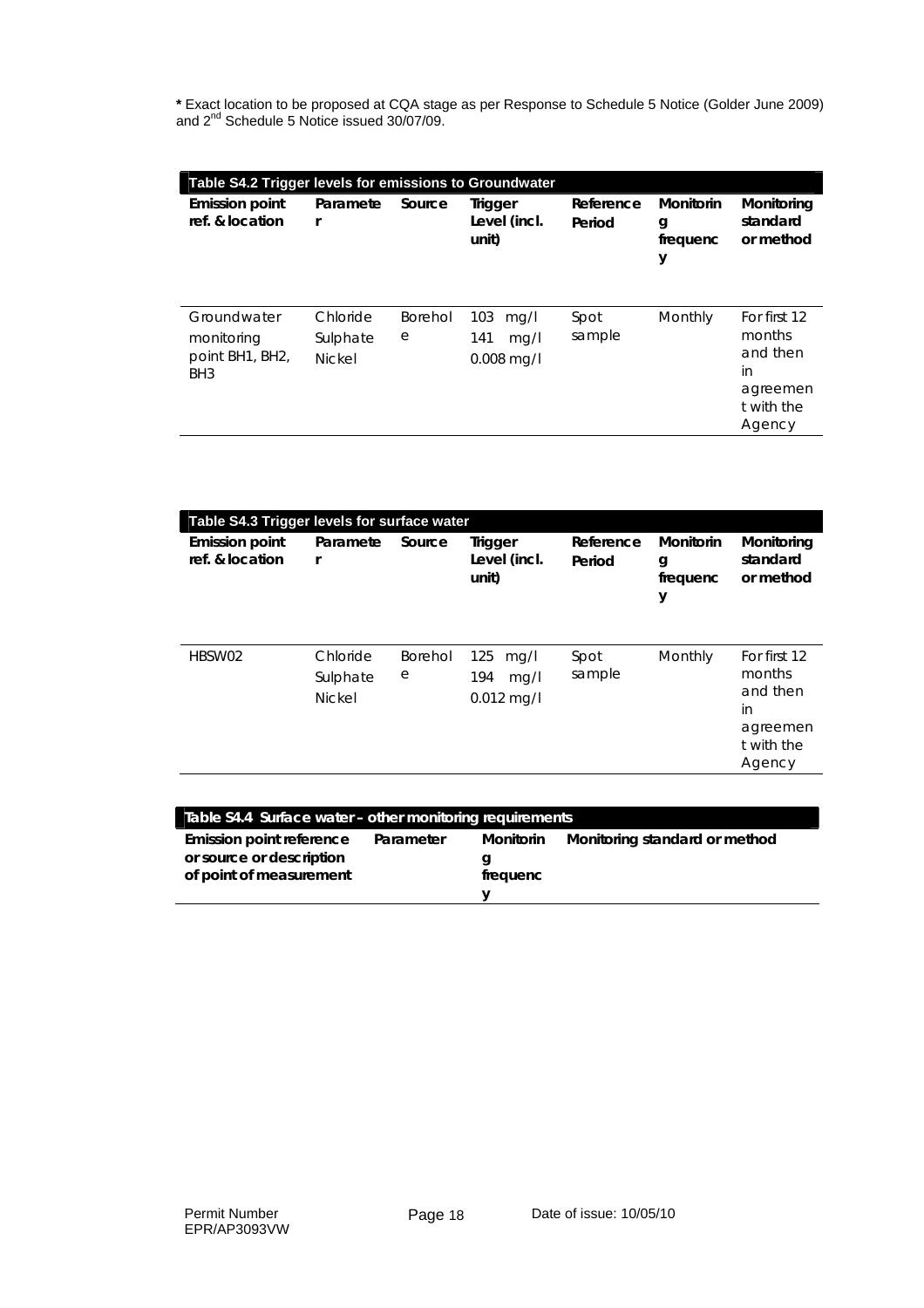**\*** Exact location to be proposed at CQA stage as per Response to Schedule 5 Notice (Golder June 2009) and 2<sup>nd</sup> Schedule 5 Notice issued 30/07/09.

| Table S4.2 Trigger levels for emissions to Groundwater          |                                       |              |                                            |                     |                                 |                                                                              |  |
|-----------------------------------------------------------------|---------------------------------------|--------------|--------------------------------------------|---------------------|---------------------------------|------------------------------------------------------------------------------|--|
| <b>Emission point</b><br>ref. & location                        | Paramete<br>r                         | Source       | <b>Trigger</b><br>Level (incl.<br>unit)    | Reference<br>Period | Monitorin<br>g<br>frequenc<br>у | Monitoring<br>standard<br>or method                                          |  |
| Groundwater<br>monitoring<br>point BH1, BH2,<br>BH <sub>3</sub> | Chloride<br>Sulphate<br><b>Nickel</b> | Borehol<br>е | 103<br>mq/l<br>141<br>mg/l<br>$0.008$ mg/l | Spot<br>sample      | Monthly                         | For first 12<br>months<br>and then<br>in<br>agreemen<br>t with the<br>Agency |  |

| Table S4.3 Trigger levels for surface water |                                       |              |                                            |                     |                                        |                                                                              |  |
|---------------------------------------------|---------------------------------------|--------------|--------------------------------------------|---------------------|----------------------------------------|------------------------------------------------------------------------------|--|
| <b>Emission point</b><br>ref. & location    | Paramete<br>r                         | Source       | Trigger<br>Level (incl.<br>unit)           | Reference<br>Period | <b>Monitorin</b><br>g<br>frequenc<br>у | Monitoring<br>standard<br>or method                                          |  |
| HBSW02                                      | Chloride<br>Sulphate<br><b>Nickel</b> | Borehol<br>е | 125<br>mq/l<br>194<br>mq/l<br>$0.012$ mg/l | Spot<br>sample      | Monthly                                | For first 12<br>months<br>and then<br>in<br>agreemen<br>t with the<br>Agency |  |

| Table S4.4 Surface water – other monitoring requirements                        |           |                            |                               |
|---------------------------------------------------------------------------------|-----------|----------------------------|-------------------------------|
| Emission point reference<br>or source or description<br>of point of measurement | Parameter | Monitorin<br>a<br>frequenc | Monitoring standard or method |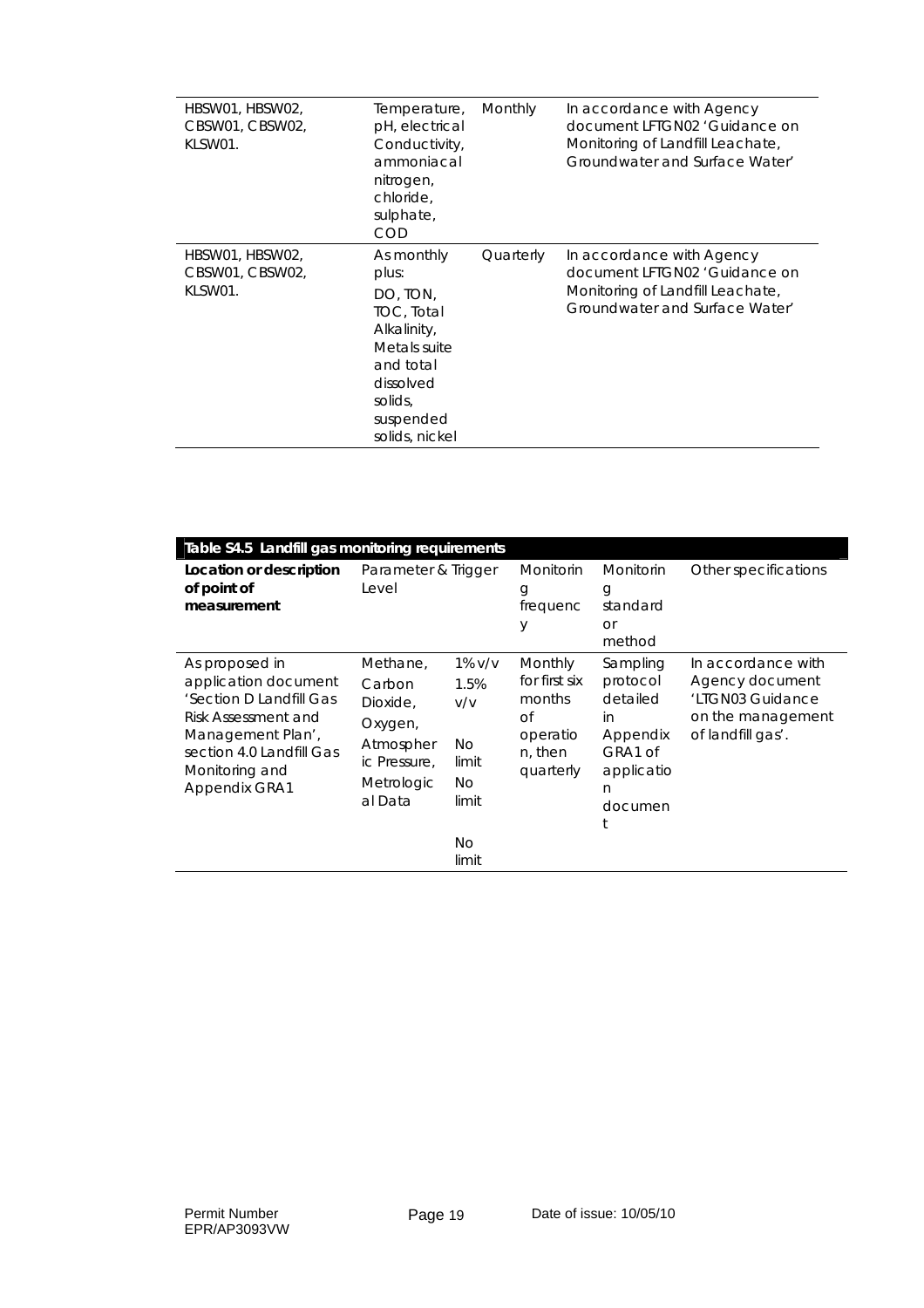| HBSW01, HBSW02,<br>CBSW01, CBSW02,<br>KLSW01. | Temperature,<br>pH, electrical<br>Conductivity,<br>ammoniacal<br>nitrogen,<br>chloride.<br>sulphate,<br>COD                                      | Monthly   | In accordance with Agency<br>document LFTGN02 'Guidance on<br>Monitoring of Landfill Leachate,<br>Groundwater and Surface Water' |
|-----------------------------------------------|--------------------------------------------------------------------------------------------------------------------------------------------------|-----------|----------------------------------------------------------------------------------------------------------------------------------|
| HBSW01, HBSW02,<br>CBSW01, CBSW02,<br>KLSW01. | As monthly<br>plus:<br>DO, TON,<br>TOC, Total<br>Alkalinity,<br>Metals suite<br>and total<br>dissolved<br>solids,<br>suspended<br>solids, nickel | Quarterly | In accordance with Agency<br>document LFTGN02 'Guidance on<br>Monitoring of Landfill Leachate,<br>Groundwater and Surface Water' |

| Table S4.5 Landfill gas monitoring requirements                                                                                                                              |                                                                                                 |                                                                          |                                                                              |                                                                                             |                                                                                                     |
|------------------------------------------------------------------------------------------------------------------------------------------------------------------------------|-------------------------------------------------------------------------------------------------|--------------------------------------------------------------------------|------------------------------------------------------------------------------|---------------------------------------------------------------------------------------------|-----------------------------------------------------------------------------------------------------|
| Location or description<br>of point of<br>measurement                                                                                                                        | Parameter & Trigger<br>Level                                                                    |                                                                          | <b>Monitorin</b><br>g<br>frequenc<br>У                                       | Monitorin<br>g<br>standard<br><b>or</b><br>method                                           | Other specifications                                                                                |
| As proposed in<br>application document<br>'Section D Landfill Gas<br>Risk Assessment and<br>Management Plan',<br>section 4.0 Landfill Gas<br>Monitoring and<br>Appendix GRA1 | Methane,<br>Carbon<br>Dioxide,<br>Oxygen,<br>Atmospher<br>ic Pressure,<br>Metrologic<br>al Data | $1\%$ v/v<br>1.5%<br>V/V<br>No.<br>limit<br>No.<br>limit<br>No.<br>limit | Monthly<br>for first six<br>months<br>Οf<br>operatio<br>n, then<br>quarterly | Sampling<br>protocol<br>detailed<br>in<br>Appendix<br>GRA1 of<br>applicatio<br>n<br>documen | In accordance with<br>Agency document<br>'LTGN03 Guidance<br>on the management<br>of landfill gas'. |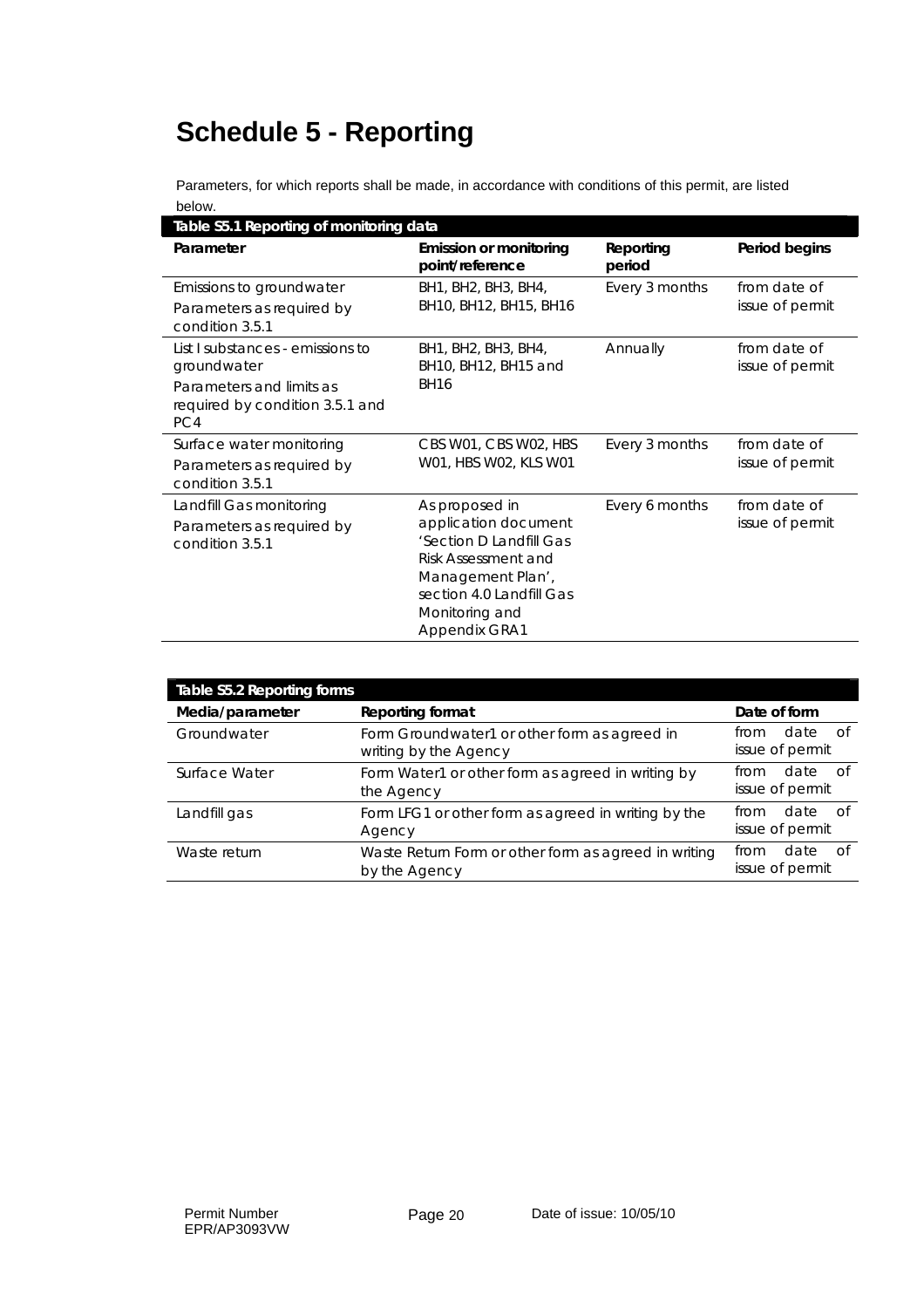# **Schedule 5 - Reporting**

Parameters, for which reports shall be made, in accordance with conditions of this permit, are listed below.

| Table S5.1 Reporting of monitoring data                                                                               |                                                                                                                                                                              |                     |                                 |
|-----------------------------------------------------------------------------------------------------------------------|------------------------------------------------------------------------------------------------------------------------------------------------------------------------------|---------------------|---------------------------------|
| Parameter                                                                                                             | <b>Emission or monitoring</b><br>point/reference                                                                                                                             | Reporting<br>period | Period begins                   |
| Emissions to groundwater<br>Parameters as required by<br>condition 3.5.1                                              | BH1, BH2, BH3, BH4,<br>BH10, BH12, BH15, BH16                                                                                                                                | Every 3 months      | from date of<br>issue of permit |
| List I substances - emissions to<br>groundwater<br>Parameters and limits as<br>required by condition 3.5.1 and<br>PC4 | BH1, BH2, BH3, BH4,<br>BH10, BH12, BH15 and<br><b>BH16</b>                                                                                                                   | Annually            | from date of<br>issue of permit |
| Surface water monitoring<br>Parameters as required by<br>condition 3.5.1                                              | CBS W01, CBS W02, HBS<br>W01, HBS W02, KLS W01                                                                                                                               | Every 3 months      | from date of<br>issue of permit |
| Landfill Gas monitoring<br>Parameters as required by<br>condition 3.5.1                                               | As proposed in<br>application document<br>'Section D Landfill Gas<br>Risk Assessment and<br>Management Plan',<br>section 4.0 Landfill Gas<br>Monitoring and<br>Appendix GRA1 | Every 6 months      | from date of<br>issue of permit |

| Table S5.2 Reporting forms |                                                                       |                                         |
|----------------------------|-----------------------------------------------------------------------|-----------------------------------------|
| Media/parameter            | <b>Reporting format</b>                                               | Date of form                            |
| Groundwater                | Form Groundwater1 or other form as agreed in<br>writing by the Agency | date of<br>from<br>issue of permit      |
| Surface Water              | Form Water1 or other form as agreed in writing by<br>the Agency       | date of<br>from<br>issue of permit      |
| Landfill gas               | Form LFG1 or other form as agreed in writing by the<br>Agency         | date<br>് റf<br>from<br>issue of permit |
| Waste return               | Waste Return Form or other form as agreed in writing<br>by the Agency | date<br>from<br>⊟ of<br>issue of permit |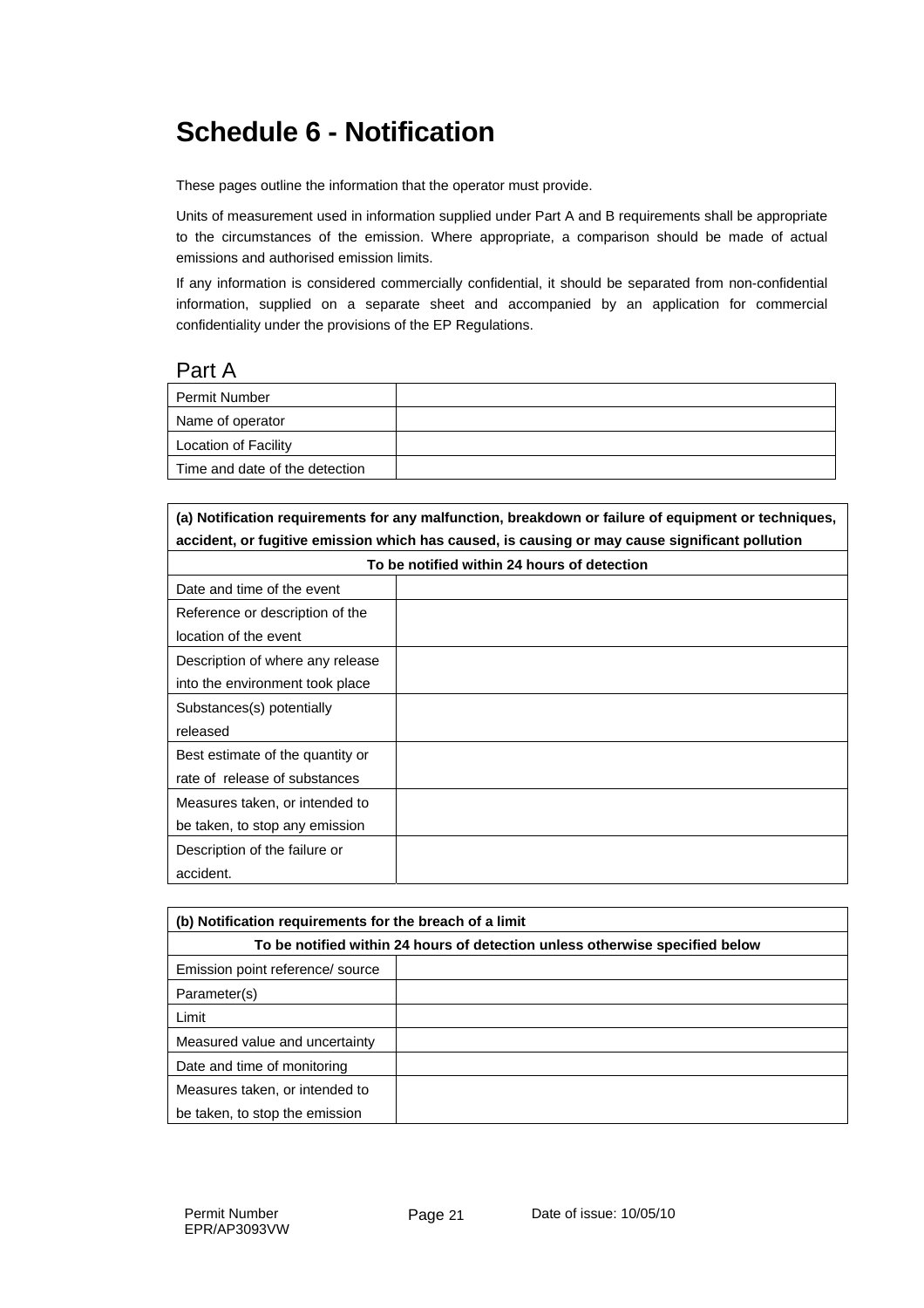## **Schedule 6 - Notification**

These pages outline the information that the operator must provide.

Units of measurement used in information supplied under Part A and B requirements shall be appropriate to the circumstances of the emission. Where appropriate, a comparison should be made of actual emissions and authorised emission limits.

If any information is considered commercially confidential, it should be separated from non-confidential information, supplied on a separate sheet and accompanied by an application for commercial confidentiality under the provisions of the EP Regulations.

#### Part A

| Permit Number                  |  |
|--------------------------------|--|
| Name of operator               |  |
| Location of Facility           |  |
| Time and date of the detection |  |

**(a) Notification requirements for any malfunction, breakdown or failure of equipment or techniques, accident, or fugitive emission which has caused, is causing or may cause significant pollution To be notified within 24 hours of detection** 

| To be notified within 24 nours of detection |  |  |
|---------------------------------------------|--|--|
| Date and time of the event                  |  |  |
| Reference or description of the             |  |  |
| location of the event                       |  |  |
| Description of where any release            |  |  |
| into the environment took place             |  |  |
| Substances(s) potentially                   |  |  |
| released                                    |  |  |
| Best estimate of the quantity or            |  |  |
| rate of release of substances               |  |  |
| Measures taken, or intended to              |  |  |
| be taken, to stop any emission              |  |  |
| Description of the failure or               |  |  |
| accident.                                   |  |  |

| (b) Notification requirements for the breach of a limit                      |  |  |
|------------------------------------------------------------------------------|--|--|
| To be notified within 24 hours of detection unless otherwise specified below |  |  |
| Emission point reference/ source                                             |  |  |
| Parameter(s)                                                                 |  |  |
| Limit                                                                        |  |  |
| Measured value and uncertainty                                               |  |  |
| Date and time of monitoring                                                  |  |  |
| Measures taken, or intended to                                               |  |  |
| be taken, to stop the emission                                               |  |  |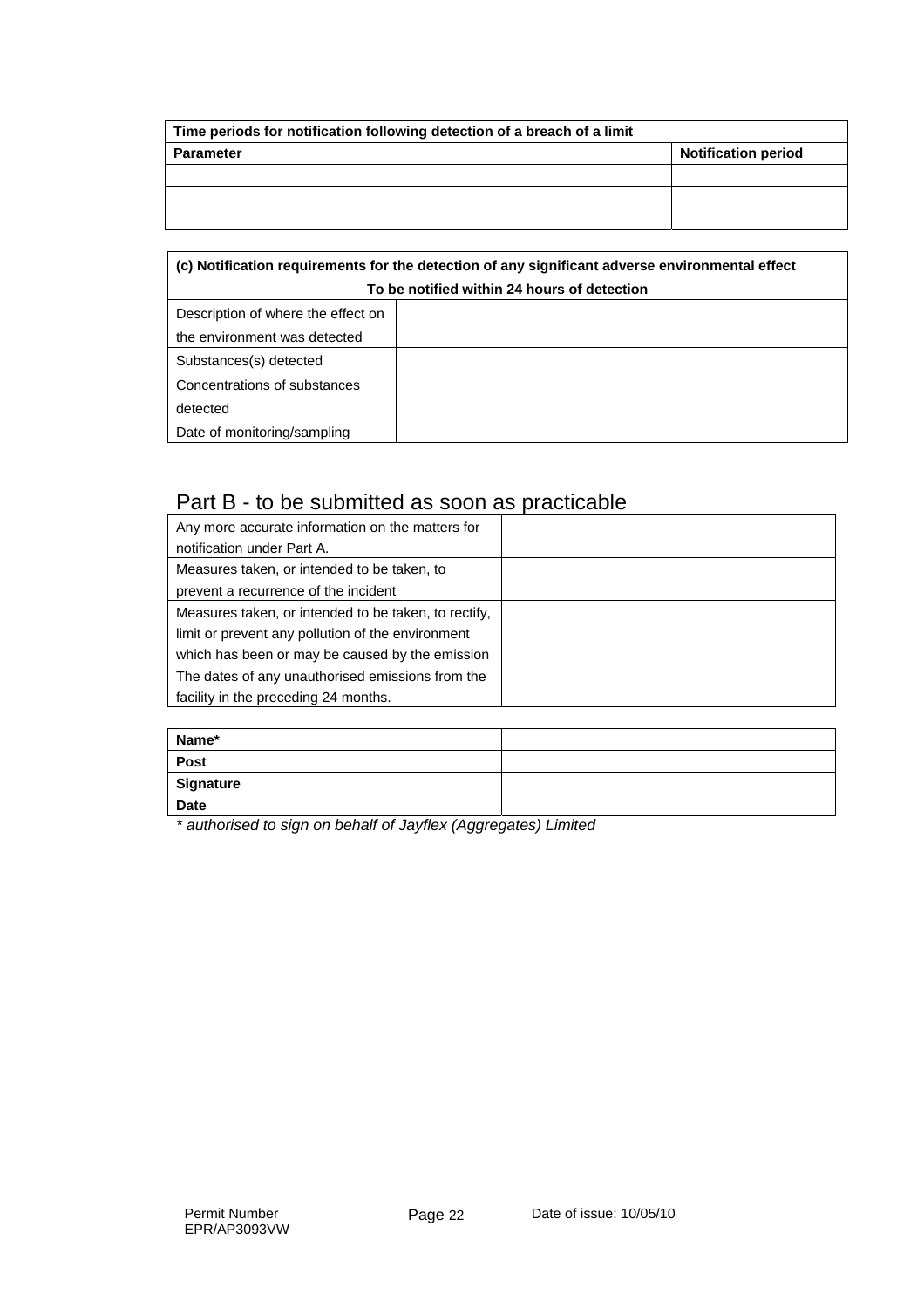| Time periods for notification following detection of a breach of a limit |                            |  |
|--------------------------------------------------------------------------|----------------------------|--|
| <b>Parameter</b>                                                         | <b>Notification period</b> |  |
|                                                                          |                            |  |
|                                                                          |                            |  |
|                                                                          |                            |  |

| (c) Notification requirements for the detection of any significant adverse environmental effect |  |  |
|-------------------------------------------------------------------------------------------------|--|--|
| To be notified within 24 hours of detection                                                     |  |  |
| Description of where the effect on                                                              |  |  |
| the environment was detected                                                                    |  |  |
| Substances(s) detected                                                                          |  |  |
| Concentrations of substances                                                                    |  |  |
| detected                                                                                        |  |  |
| Date of monitoring/sampling                                                                     |  |  |

### Part B - to be submitted as soon as practicable

| Any more accurate information on the matters for     |  |
|------------------------------------------------------|--|
| notification under Part A.                           |  |
| Measures taken, or intended to be taken, to          |  |
| prevent a recurrence of the incident                 |  |
| Measures taken, or intended to be taken, to rectify, |  |
| limit or prevent any pollution of the environment    |  |
| which has been or may be caused by the emission      |  |
| The dates of any unauthorised emissions from the     |  |
| facility in the preceding 24 months.                 |  |

| Name*       |  |
|-------------|--|
| Post        |  |
| Signature   |  |
| <b>Date</b> |  |

*\* authorised to sign on behalf of Jayflex (Aggregates) Limited*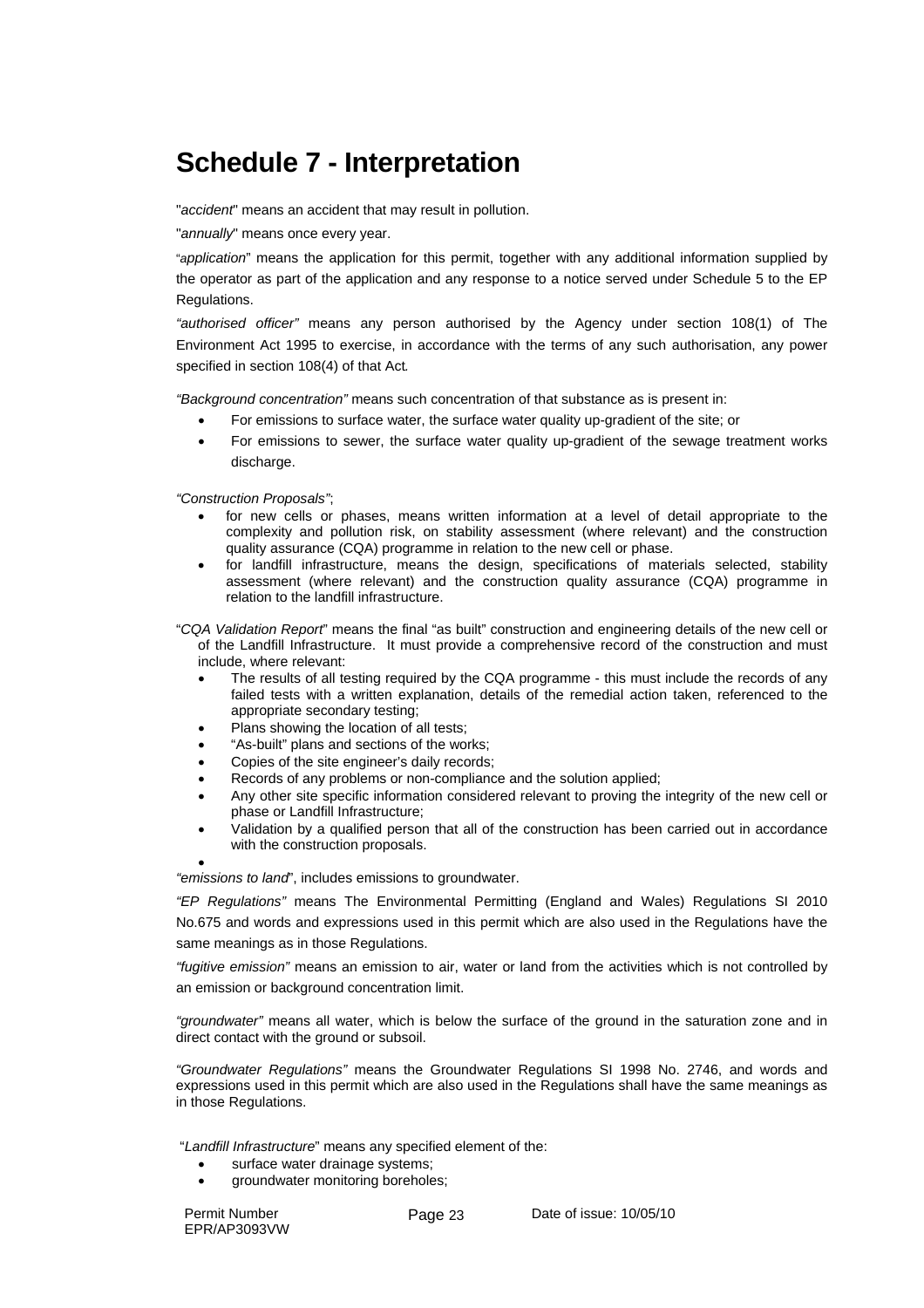## **Schedule 7 - Interpretation**

"*accident*" means an accident that may result in pollution.

"*annually*" means once every year.

"*application*" means the application for this permit, together with any additional information supplied by the operator as part of the application and any response to a notice served under Schedule 5 to the EP Regulations.

*"authorised officer"* means any person authorised by the Agency under section 108(1) of The Environment Act 1995 to exercise, in accordance with the terms of any such authorisation, any power specified in section 108(4) of that Act*.* 

*"Background concentration"* means such concentration of that substance as is present in:

- For emissions to surface water, the surface water quality up-gradient of the site; or
- For emissions to sewer, the surface water quality up-gradient of the sewage treatment works discharge.

*"Construction Proposals"*;

- for new cells or phases, means written information at a level of detail appropriate to the complexity and pollution risk, on stability assessment (where relevant) and the construction quality assurance (CQA) programme in relation to the new cell or phase.
- for landfill infrastructure, means the design, specifications of materials selected, stability assessment (where relevant) and the construction quality assurance (CQA) programme in relation to the landfill infrastructure.

"*CQA Validation Report*" means the final "as built" construction and engineering details of the new cell or of the Landfill Infrastructure. It must provide a comprehensive record of the construction and must include, where relevant:

- The results of all testing required by the CQA programme this must include the records of any failed tests with a written explanation, details of the remedial action taken, referenced to the appropriate secondary testing;
- Plans showing the location of all tests;
- "As-built" plans and sections of the works;
- Copies of the site engineer's daily records;
- Records of any problems or non-compliance and the solution applied;
- Any other site specific information considered relevant to proving the integrity of the new cell or phase or Landfill Infrastructure;
- Validation by a qualified person that all of the construction has been carried out in accordance with the construction proposals.

•

*"emissions to land*", includes emissions to groundwater.

*"EP Regulations"* means The Environmental Permitting (England and Wales) Regulations SI 2010 No.675 and words and expressions used in this permit which are also used in the Regulations have the same meanings as in those Regulations.

*"fugitive emission"* means an emission to air, water or land from the activities which is not controlled by an emission or background concentration limit.

*"groundwater"* means all water, which is below the surface of the ground in the saturation zone and in direct contact with the ground or subsoil.

*"Groundwater Regulations"* means the Groundwater Regulations SI 1998 No. 2746, and words and expressions used in this permit which are also used in the Regulations shall have the same meanings as in those Regulations.

"*Landfill Infrastructure*" means any specified element of the:

- surface water drainage systems;
- groundwater monitoring boreholes;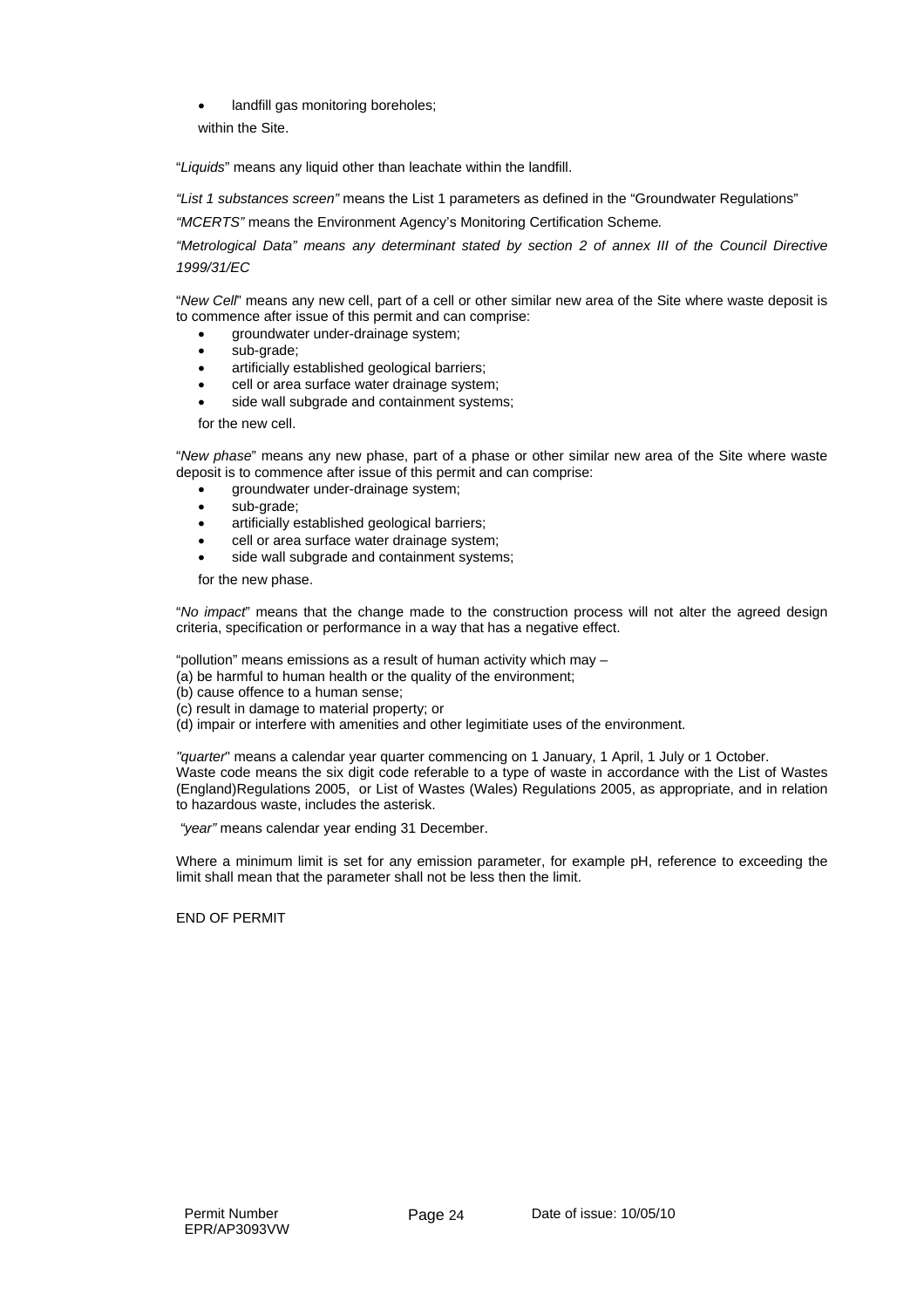landfill gas monitoring boreholes;

within the Site.

"*Liquids*" means any liquid other than leachate within the landfill.

*"List 1 substances screen"* means the List 1 parameters as defined in the "Groundwater Regulations"

*"MCERTS"* means the Environment Agency's Monitoring Certification Scheme*.* 

*"Metrological Data" means any determinant stated by section 2 of annex III of the Council Directive 1999/31/EC* 

"*New Cell*" means any new cell, part of a cell or other similar new area of the Site where waste deposit is to commence after issue of this permit and can comprise:

- groundwater under-drainage system;
- sub-grade;
- artificially established geological barriers;
- cell or area surface water drainage system;
- side wall subgrade and containment systems;

for the new cell.

"*New phase*" means any new phase, part of a phase or other similar new area of the Site where waste deposit is to commence after issue of this permit and can comprise:

- groundwater under-drainage system;
- sub-grade;
- artificially established geological barriers;
- cell or area surface water drainage system;
- side wall subgrade and containment systems;

for the new phase.

"*No impact*" means that the change made to the construction process will not alter the agreed design criteria, specification or performance in a way that has a negative effect.

"pollution" means emissions as a result of human activity which may –

(a) be harmful to human health or the quality of the environment;

- (b) cause offence to a human sense;
- (c) result in damage to material property; or
- (d) impair or interfere with amenities and other legimitiate uses of the environment.

*"quarter*" means a calendar year quarter commencing on 1 January, 1 April, 1 July or 1 October. Waste code means the six digit code referable to a type of waste in accordance with the List of Wastes (England)Regulations 2005, or List of Wastes (Wales) Regulations 2005, as appropriate, and in relation to hazardous waste, includes the asterisk.

 *"year"* means calendar year ending 31 December.

Where a minimum limit is set for any emission parameter, for example pH, reference to exceeding the limit shall mean that the parameter shall not be less then the limit.

END OF PERMIT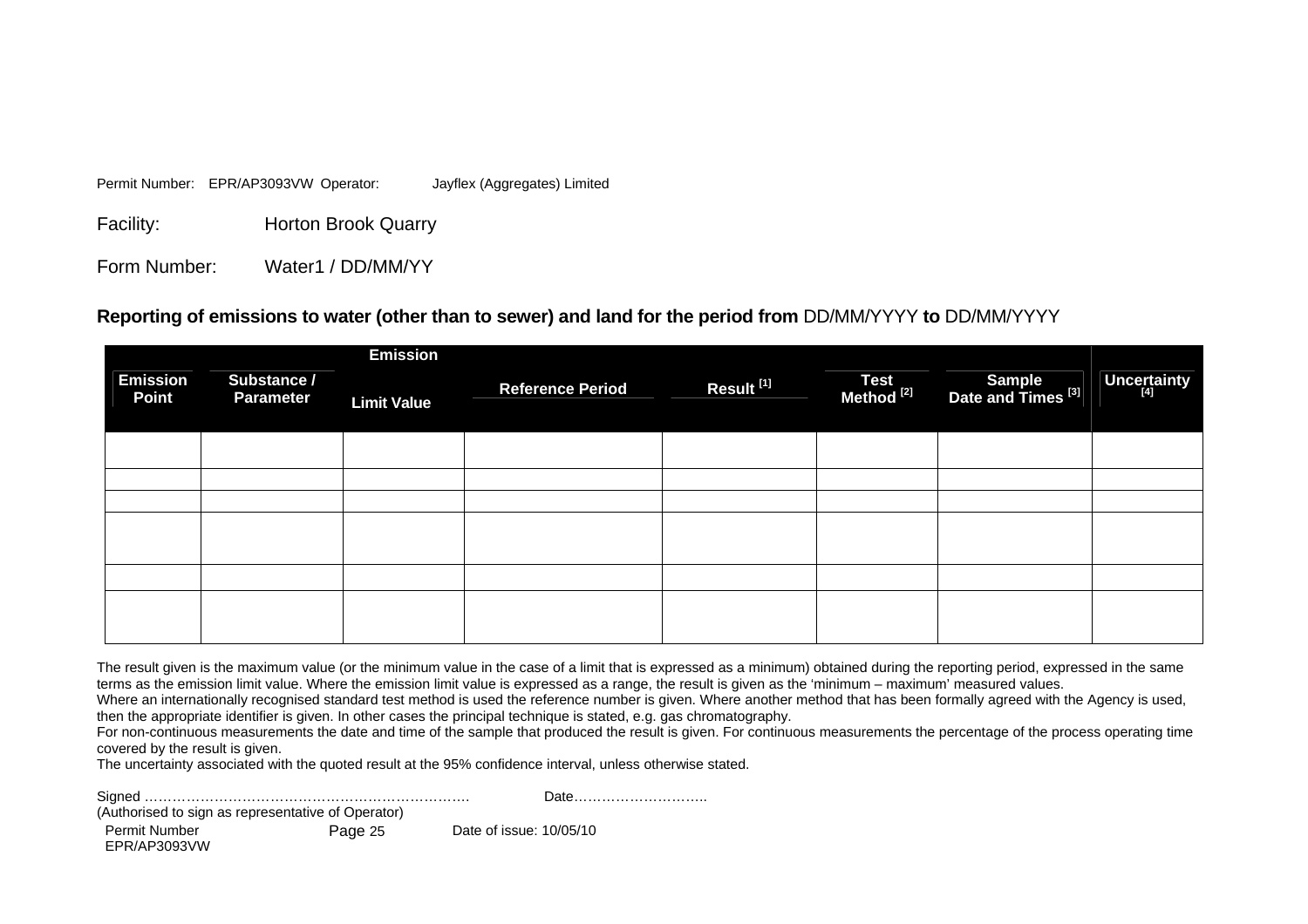Permit Number: EPR/AP3093VW Operator: Jayflex (Aggregates) Limited

Facility: Horton Brook Quarry

Form Number: Water1 / DD/MM/YY

#### **Reporting of emissions to water (other than to sewer) and land for the period from** DD/MM/YYYY **to** DD/MM/YYYY

|                                 |                                 | <b>Emission</b>    |                         |                       |                               |                                                |             |
|---------------------------------|---------------------------------|--------------------|-------------------------|-----------------------|-------------------------------|------------------------------------------------|-------------|
| <b>Emission</b><br><b>Point</b> | Substance /<br><b>Parameter</b> | <b>Limit Value</b> | <b>Reference Period</b> | Result <sup>[1]</sup> | Test<br>Method <sup>[2]</sup> | <b>Sample</b><br>Date and Times <sup>[3]</sup> | Uncertainty |
|                                 |                                 |                    |                         |                       |                               |                                                |             |
|                                 |                                 |                    |                         |                       |                               |                                                |             |
|                                 |                                 |                    |                         |                       |                               |                                                |             |
|                                 |                                 |                    |                         |                       |                               |                                                |             |
|                                 |                                 |                    |                         |                       |                               |                                                |             |
|                                 |                                 |                    |                         |                       |                               |                                                |             |

The result given is the maximum value (or the minimum value in the case of a limit that is expressed as a minimum) obtained during the reporting period, expressed in the same terms as the emission limit value. Where the emission limit value is expressed as a range, the result is given as the 'minimum – maximum' measured values.

Where an internationally recognised standard test method is used the reference number is given. Where another method that has been formally agreed with the Agency is used, then the appropriate identifier is given. In other cases the principal technique is stated, e.g. gas chromatography.

For non-continuous measurements the date and time of the sample that produced the result is given. For continuous measurements the percentage of the process operating time covered by the result is given.

The uncertainty associated with the quoted result at the 95% confidence interval, unless otherwise stated.

| (Authorised to sign as representative of Operator) |         |                         | Date |
|----------------------------------------------------|---------|-------------------------|------|
| Permit Number<br>EPR/AP3093VW                      | Page 25 | Date of issue: 10/05/10 |      |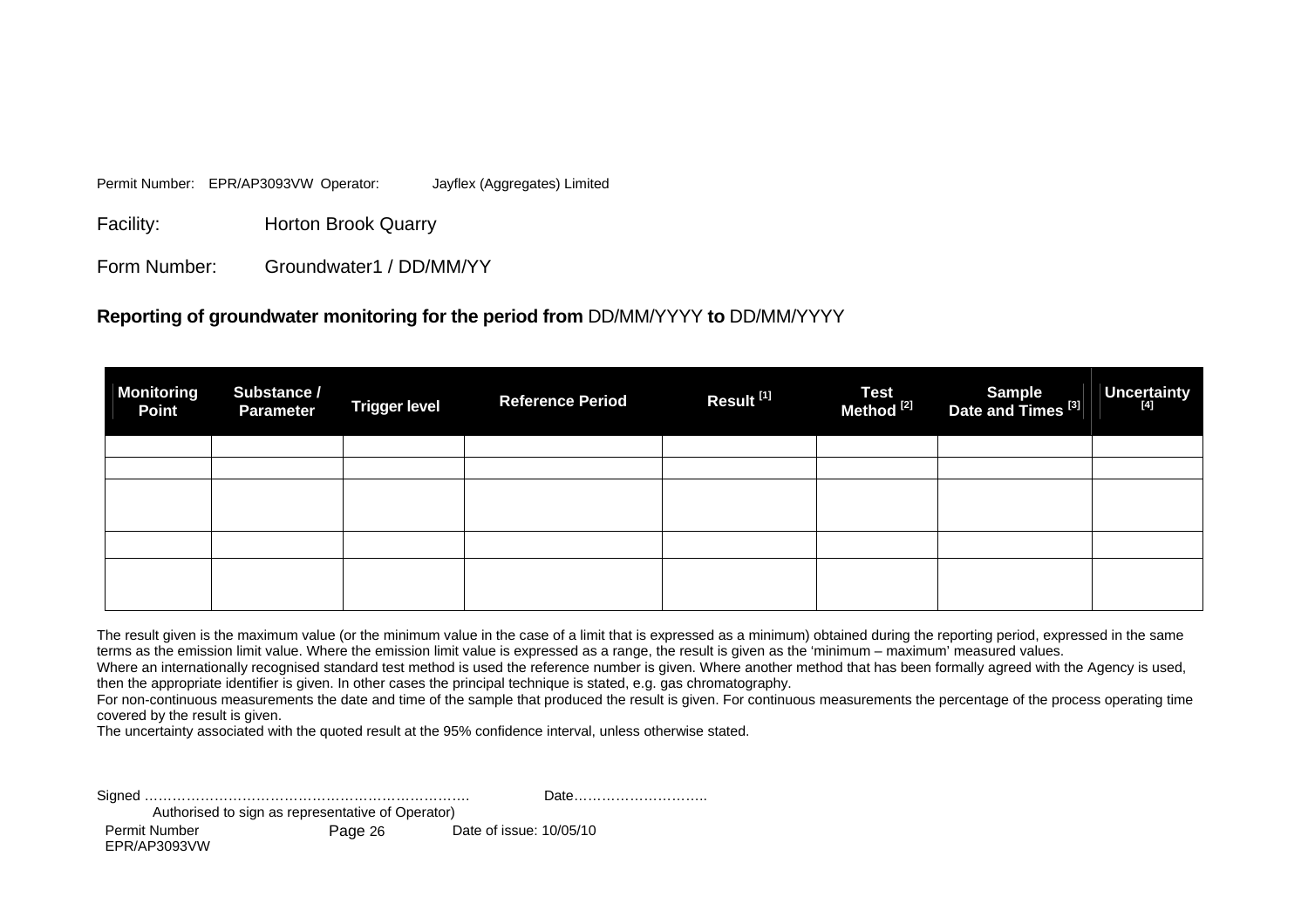Permit Number: EPR/AP3093VW Operator: Jayflex (Aggregates) Limited

Facility: Horton Brook Quarry

Form Number: Groundwater1 / DD/MM/YY

#### **Reporting of groundwater monitoring for the period from** DD/MM/YYYY **to** DD/MM/YYYY

| <b>Monitoring</b><br><b>Point</b> | Substance /<br><b>Parameter</b> | <b>Trigger level</b> | <b>Reference Period</b> | Result <sup>[1]</sup> | Test<br>Method <sup>[2]</sup> | Sample<br>Date and Times <sup>[3]</sup> | Uncertainty |
|-----------------------------------|---------------------------------|----------------------|-------------------------|-----------------------|-------------------------------|-----------------------------------------|-------------|
|                                   |                                 |                      |                         |                       |                               |                                         |             |
|                                   |                                 |                      |                         |                       |                               |                                         |             |
|                                   |                                 |                      |                         |                       |                               |                                         |             |
|                                   |                                 |                      |                         |                       |                               |                                         |             |
|                                   |                                 |                      |                         |                       |                               |                                         |             |
|                                   |                                 |                      |                         |                       |                               |                                         |             |
|                                   |                                 |                      |                         |                       |                               |                                         |             |

The result given is the maximum value (or the minimum value in the case of a limit that is expressed as a minimum) obtained during the reporting period, expressed in the same terms as the emission limit value. Where the emission limit value is expressed as a range, the result is given as the 'minimum – maximum' measured values.

Where an internationally recognised standard test method is used the reference number is given. Where another method that has been formally agreed with the Agency is used, then the appropriate identifier is given. In other cases the principal technique is stated, e.g. gas chromatography.

For non-continuous measurements the date and time of the sample that produced the result is given. For continuous measurements the percentage of the process operating time covered by the result is given.

The uncertainty associated with the quoted result at the 95% confidence interval, unless otherwise stated.

|                                                   |         | Date                    |  |  |  |  |
|---------------------------------------------------|---------|-------------------------|--|--|--|--|
| Authorised to sign as representative of Operator) |         |                         |  |  |  |  |
| Permit Number                                     | Page 26 | Date of issue: 10/05/10 |  |  |  |  |

EPR/AP3093VW